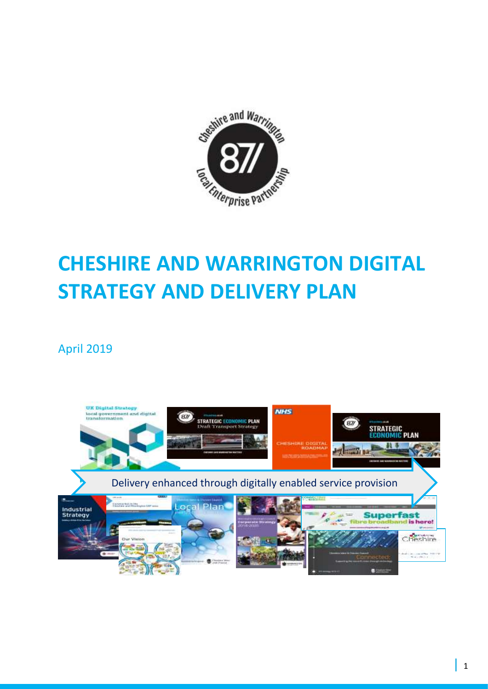

# **CHESHIRE AND WARRINGTON DIGITAL STRATEGY AND DELIVERY PLAN**

# April 2019

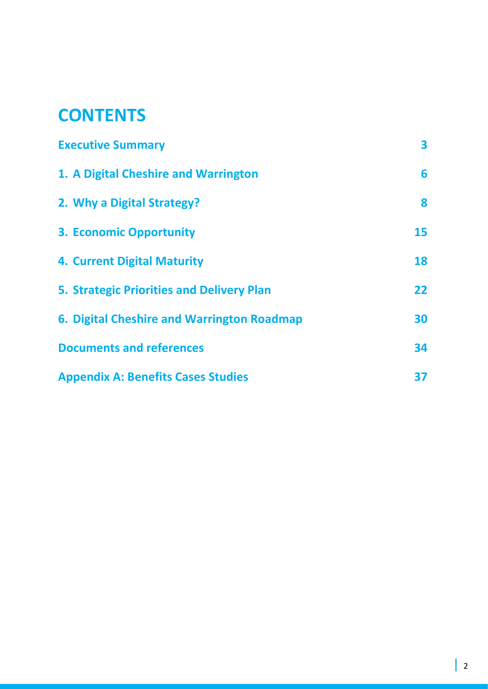# **CONTENTS**

| <b>Executive Summary</b>                         | 3  |
|--------------------------------------------------|----|
| 1. A Digital Cheshire and Warrington             | 6  |
| 2. Why a Digital Strategy?                       | 8  |
| <b>3. Economic Opportunity</b>                   | 15 |
| <b>4. Current Digital Maturity</b>               | 18 |
| <b>5. Strategic Priorities and Delivery Plan</b> | 22 |
| 6. Digital Cheshire and Warrington Roadmap       | 30 |
| <b>Documents and references</b>                  | 34 |
| <b>Appendix A: Benefits Cases Studies</b>        | 37 |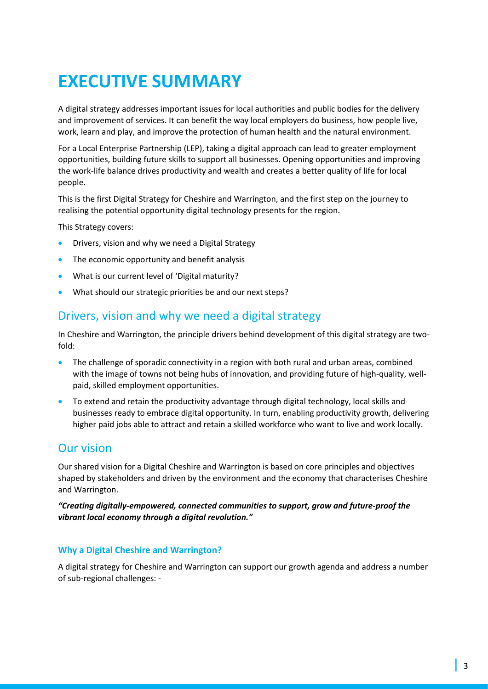# **EXECUTIVE SUMMARY**

A digital strategy addresses important issues for local authorities and public bodies for the delivery and improvement of services. It can benefit the way local employers do business, how people live, work, learn and play, and improve the protection of human health and the natural environment.

For a Local Enterprise Partnership (LEP), taking a digital approach can lead to greater employment opportunities, building future skills to support all businesses. Opening opportunities and improving the work-life balance drives productivity and wealth and creates a better quality of life for local people.

This is the first Digital Strategy for Cheshire and Warrington, and the first step on the journey to realising the potential opportunity digital technology presents for the region.

This Strategy covers:

- Drivers, vision and why we need a Digital Strategy
- The economic opportunity and benefit analysis
- What is our current level of 'Digital maturity?
- What should our strategic priorities be and our next steps?

## Drivers, vision and why we need a digital strategy

In Cheshire and Warrington, the principle drivers behind development of this digital strategy are twofold:

- The challenge of sporadic connectivity in a region with both rural and urban areas, combined with the image of towns not being hubs of innovation, and providing future of high-quality, wellpaid, skilled employment opportunities.
- To extend and retain the productivity advantage through digital technology, local skills and businesses ready to embrace digital opportunity. In turn, enabling productivity growth, delivering higher paid jobs able to attract and retain a skilled workforce who want to live and work locally.

## Our vision

Our shared vision for a Digital Cheshire and Warrington is based on core principles and objectives shaped by stakeholders and driven by the environment and the economy that characterises Cheshire and Warrington.

*"Creating digitally-empowered, connected communities to support, grow and future-proof the vibrant local economy through a digital revolution."* 

### **Why a Digital Cheshire and Warrington?**

A digital strategy for Cheshire and Warrington can support our growth agenda and address a number of sub-regional challenges: -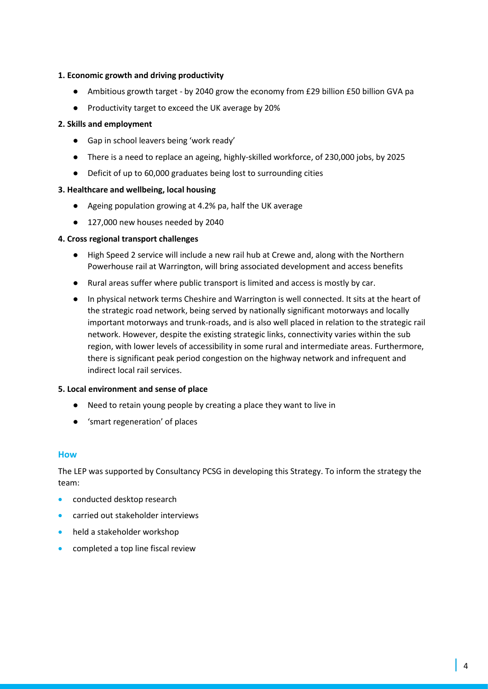#### **1. Economic growth and driving productivity**

- Ambitious growth target by 2040 grow the economy from £29 billion £50 billion GVA pa
- Productivity target to exceed the UK average by 20%

#### **2. Skills and employment**

- Gap in school leavers being 'work ready'
- There is a need to replace an ageing, highly-skilled workforce, of 230,000 jobs, by 2025
- Deficit of up to 60,000 graduates being lost to surrounding cities

#### **3. Healthcare and wellbeing, local housing**

- Ageing population growing at 4.2% pa, half the UK average
- 127,000 new houses needed by 2040

#### **4. Cross regional transport challenges**

- High Speed 2 service will include a new rail hub at Crewe and, along with the Northern Powerhouse rail at Warrington, will bring associated development and access benefits
- Rural areas suffer where public transport is limited and access is mostly by car.
- In physical network terms Cheshire and Warrington is well connected. It sits at the heart of the strategic road network, being served by nationally significant motorways and locally important motorways and trunk-roads, and is also well placed in relation to the strategic rail network. However, despite the existing strategic links, connectivity varies within the sub region, with lower levels of accessibility in some rural and intermediate areas. Furthermore, there is significant peak period congestion on the highway network and infrequent and indirect local rail services.

#### **5. Local environment and sense of place**

- Need to retain young people by creating a place they want to live in
- 'smart regeneration' of places

#### **How**

The LEP was supported by Consultancy PCSG in developing this Strategy. To inform the strategy the team:

- conducted desktop research
- carried out stakeholder interviews
- held a stakeholder workshop
- completed a top line fiscal review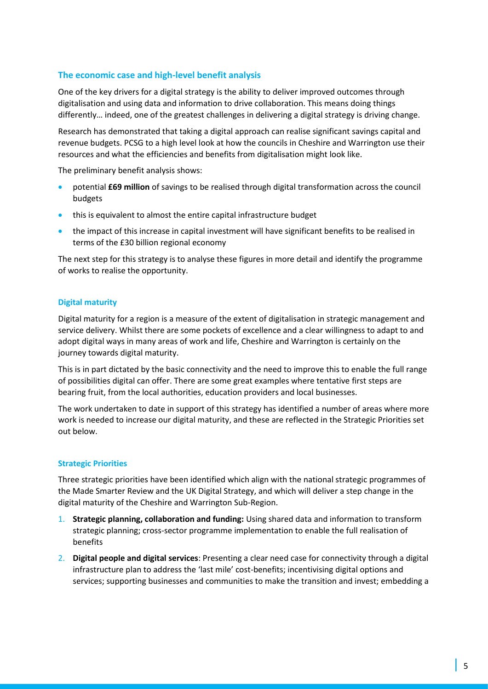#### **The economic case and high-level benefit analysis**

One of the key drivers for a digital strategy is the ability to deliver improved outcomes through digitalisation and using data and information to drive collaboration. This means doing things differently… indeed, one of the greatest challenges in delivering a digital strategy is driving change.

Research has demonstrated that taking a digital approach can realise significant savings capital and revenue budgets. PCSG to a high level look at how the councils in Cheshire and Warrington use their resources and what the efficiencies and benefits from digitalisation might look like.

The preliminary benefit analysis shows:

- potential **£69 million** of savings to be realised through digital transformation across the council budgets
- this is equivalent to almost the entire capital infrastructure budget
- the impact of this increase in capital investment will have significant benefits to be realised in terms of the £30 billion regional economy

The next step for this strategy is to analyse these figures in more detail and identify the programme of works to realise the opportunity.

#### **Digital maturity**

Digital maturity for a region is a measure of the extent of digitalisation in strategic management and service delivery. Whilst there are some pockets of excellence and a clear willingness to adapt to and adopt digital ways in many areas of work and life, Cheshire and Warrington is certainly on the journey towards digital maturity.

This is in part dictated by the basic connectivity and the need to improve this to enable the full range of possibilities digital can offer. There are some great examples where tentative first steps are bearing fruit, from the local authorities, education providers and local businesses.

The work undertaken to date in support of this strategy has identified a number of areas where more work is needed to increase our digital maturity, and these are reflected in the Strategic Priorities set out below.

#### **Strategic Priorities**

Three strategic priorities have been identified which align with the national strategic programmes of the Made Smarter Review and the UK Digital Strategy, and which will deliver a step change in the digital maturity of the Cheshire and Warrington Sub-Region.

- 1. **Strategic planning, collaboration and funding:** Using shared data and information to transform strategic planning; cross-sector programme implementation to enable the full realisation of benefits
- 2. **Digital people and digital services**: Presenting a clear need case for connectivity through a digital infrastructure plan to address the 'last mile' cost-benefits; incentivising digital options and services; supporting businesses and communities to make the transition and invest; embedding a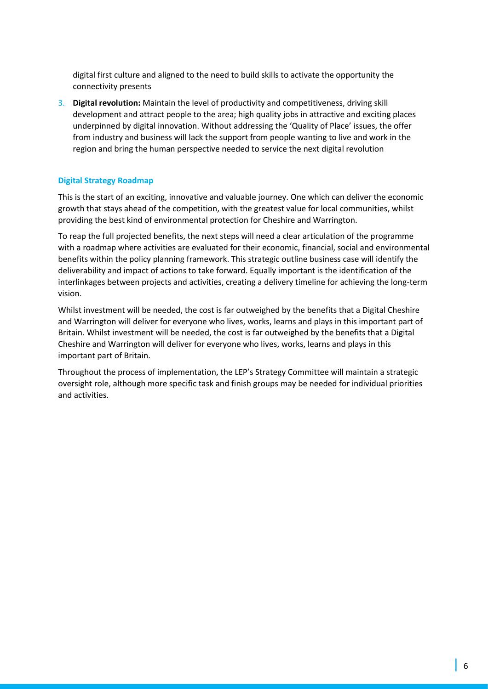digital first culture and aligned to the need to build skills to activate the opportunity the connectivity presents

3. **Digital revolution:** Maintain the level of productivity and competitiveness, driving skill development and attract people to the area; high quality jobs in attractive and exciting places underpinned by digital innovation. Without addressing the 'Quality of Place' issues, the offer from industry and business will lack the support from people wanting to live and work in the region and bring the human perspective needed to service the next digital revolution

#### **Digital Strategy Roadmap**

This is the start of an exciting, innovative and valuable journey. One which can deliver the economic growth that stays ahead of the competition, with the greatest value for local communities, whilst providing the best kind of environmental protection for Cheshire and Warrington.

To reap the full projected benefits, the next steps will need a clear articulation of the programme with a roadmap where activities are evaluated for their economic, financial, social and environmental benefits within the policy planning framework. This strategic outline business case will identify the deliverability and impact of actions to take forward. Equally important is the identification of the interlinkages between projects and activities, creating a delivery timeline for achieving the long-term vision.

Whilst investment will be needed, the cost is far outweighed by the benefits that a Digital Cheshire and Warrington will deliver for everyone who lives, works, learns and plays in this important part of Britain. Whilst investment will be needed, the cost is far outweighed by the benefits that a Digital Cheshire and Warrington will deliver for everyone who lives, works, learns and plays in this important part of Britain.

Throughout the process of implementation, the LEP's Strategy Committee will maintain a strategic oversight role, although more specific task and finish groups may be needed for individual priorities and activities.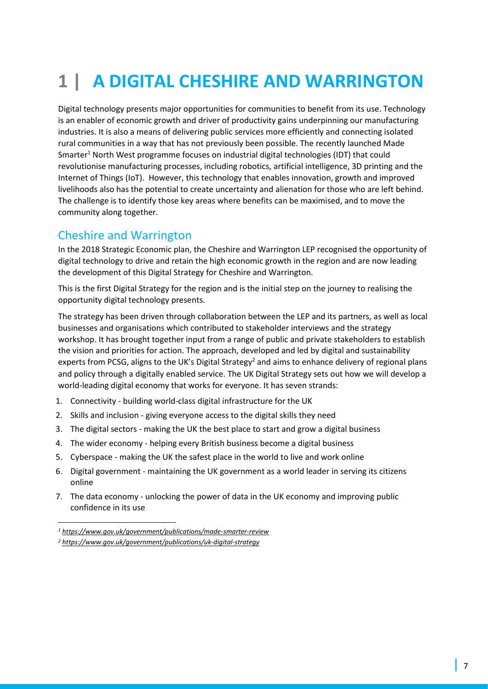# **1 | A DIGITAL CHESHIRE AND WARRINGTON**

Digital technology presents major opportunities for communities to benefit from its use. Technology is an enabler of economic growth and driver of productivity gains underpinning our manufacturing industries. It is also a means of delivering public services more efficiently and connecting isolated rural communities in a way that has not previously been possible. The recently launched Made Smarter<sup>1</sup> North West programme focuses on industrial digital technologies (IDT) that could revolutionise manufacturing processes, including robotics, artificial intelligence, 3D printing and the Internet of Things (IoT). However, this technology that enables innovation, growth and improved livelihoods also has the potential to create uncertainty and alienation for those who are left behind. The challenge is to identify those key areas where benefits can be maximised, and to move the community along together.

## Cheshire and Warrington

In the 2018 Strategic Economic plan, the Cheshire and Warrington LEP recognised the opportunity of digital technology to drive and retain the high economic growth in the region and are now leading the development of this Digital Strategy for Cheshire and Warrington.

This is the first Digital Strategy for the region and is the initial step on the journey to realising the opportunity digital technology presents.

The strategy has been driven through collaboration between the LEP and its partners, as well as local businesses and organisations which contributed to stakeholder interviews and the strategy workshop. It has brought together input from a range of public and private stakeholders to establish the vision and priorities for action. The approach, developed and led by digital and sustainability experts from PCSG, aligns to the UK's Digital Strategy<sup>2</sup> and aims to enhance delivery of regional plans and policy through a digitally enabled service. The UK Digital Strategy sets out how we will develop a world-leading digital economy that works for everyone. It has seven strands:

- 1. Connectivity building world-class digital infrastructure for the UK
- 2. Skills and inclusion giving everyone access to the digital skills they need
- 3. The digital sectors making the UK the best place to start and grow a digital business
- 4. The wider economy helping every British business become a digital business
- 5. Cyberspace making the UK the safest place in the world to live and work online
- 6. Digital government maintaining the UK government as a world leader in serving its citizens online
- 7. The data economy unlocking the power of data in the UK economy and improving public confidence in its use

*<sup>1</sup> <https://www.gov.uk/government/publications/made-smarter-review>*

*<sup>2</sup> <https://www.gov.uk/government/publications/uk-digital-strategy>*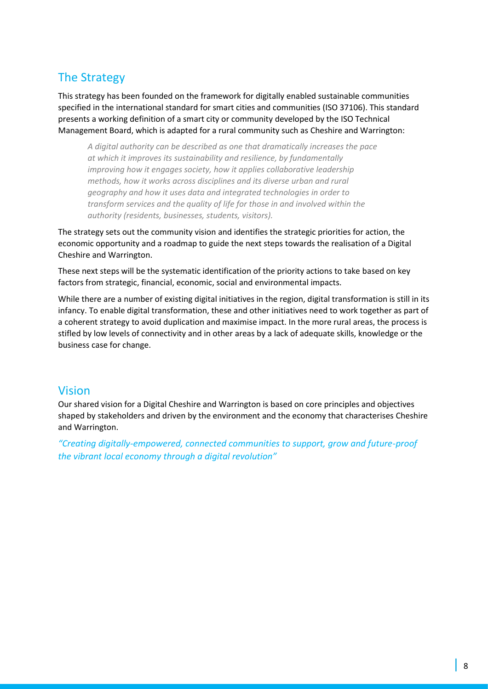# The Strategy

This strategy has been founded on the framework for digitally enabled sustainable communities specified in the international standard for smart cities and communities (ISO 37106). This standard presents a working definition of a smart city or community developed by the ISO Technical Management Board, which is adapted for a rural community such as Cheshire and Warrington:

*A digital authority can be described as one that dramatically increases the pace at which it improves its sustainability and resilience, by fundamentally improving how it engages society, how it applies collaborative leadership methods, how it works across disciplines and its diverse urban and rural geography and how it uses data and integrated technologies in order to transform services and the quality of life for those in and involved within the authority (residents, businesses, students, visitors).* 

The strategy sets out the community vision and identifies the strategic priorities for action, the economic opportunity and a roadmap to guide the next steps towards the realisation of a Digital Cheshire and Warrington.

These next steps will be the systematic identification of the priority actions to take based on key factors from strategic, financial, economic, social and environmental impacts.

While there are a number of existing digital initiatives in the region, digital transformation is still in its infancy. To enable digital transformation, these and other initiatives need to work together as part of a coherent strategy to avoid duplication and maximise impact. In the more rural areas, the process is stifled by low levels of connectivity and in other areas by a lack of adequate skills, knowledge or the business case for change.

## Vision

Our shared vision for a Digital Cheshire and Warrington is based on core principles and objectives shaped by stakeholders and driven by the environment and the economy that characterises Cheshire and Warrington.

*"Creating digitally-empowered, connected communities to support, grow and future-proof the vibrant local economy through a digital revolution"*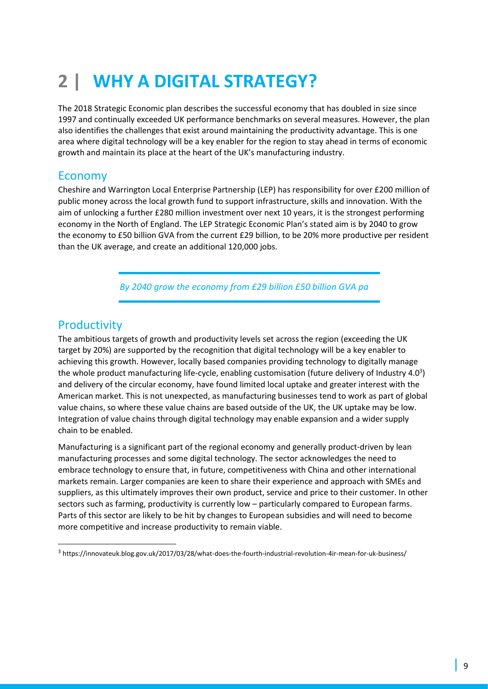# **2 | WHY A DIGITAL STRATEGY?**

The 2018 Strategic Economic plan describes the successful economy that has doubled in size since 1997 and continually exceeded UK performance benchmarks on several measures. However, the plan also identifies the challenges that exist around maintaining the productivity advantage. This is one area where digital technology will be a key enabler for the region to stay ahead in terms of economic growth and maintain its place at the heart of the UK's manufacturing industry.

## Economy

Cheshire and Warrington Local Enterprise Partnership (LEP) has responsibility for over £200 million of public money across the local growth fund to support infrastructure, skills and innovation. With the aim of unlocking a further £280 million investment over next 10 years, it is the strongest performing economy in the North of England. The LEP Strategic Economic Plan's stated aim is by 2040 to grow the economy to £50 billion GVA from the current £29 billion, to be 20% more productive per resident than the UK average, and create an additional 120,000 jobs.

*By 2040 grow the economy from £29 billion £50 billion GVA pa* 

## **Productivity**

The ambitious targets of growth and productivity levels set across the region (exceeding the UK target by 20%) are supported by the recognition that digital technology will be a key enabler to achieving this growth. However, locally based companies providing technology to digitally manage the whole product manufacturing life-cycle, enabling customisation (future delivery of Industry 4.0<sup>3</sup>) and delivery of the circular economy, have found limited local uptake and greater interest with the American market. This is not unexpected, as manufacturing businesses tend to work as part of global value chains, so where these value chains are based outside of the UK, the UK uptake may be low. Integration of value chains through digital technology may enable expansion and a wider supply chain to be enabled.

Manufacturing is a significant part of the regional economy and generally product-driven by lean manufacturing processes and some digital technology. The sector acknowledges the need to embrace technology to ensure that, in future, competitiveness with China and other international markets remain. Larger companies are keen to share their experience and approach with SMEs and suppliers, as this ultimately improves their own product, service and price to their customer. In other sectors such as farming, productivity is currently low – particularly compared to European farms. Parts of this sector are likely to be hit by changes to European subsidies and will need to become more competitive and increase productivity to remain viable.

<sup>3</sup> https://innovateuk.blog.gov.uk/2017/03/28/what-does-the-fourth-industrial-revolution-4ir-mean-for-uk-business/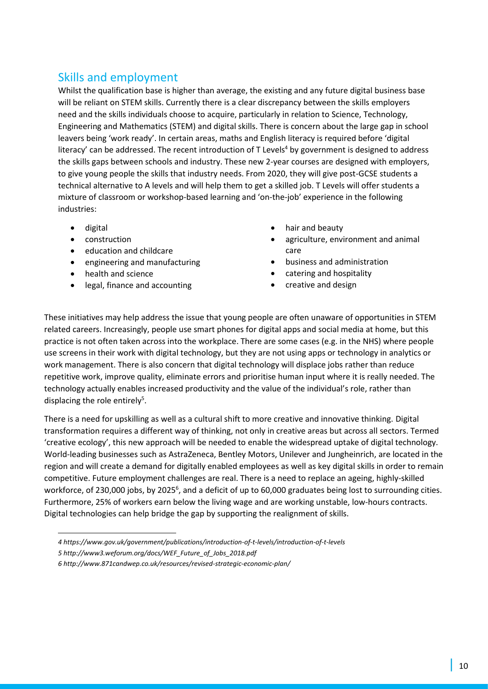# Skills and employment

Whilst the qualification base is higher than average, the existing and any future digital business base will be reliant on STEM skills. Currently there is a clear discrepancy between the skills employers need and the skills individuals choose to acquire, particularly in relation to Science, Technology, Engineering and Mathematics (STEM) and digital skills. There is concern about the large gap in school leavers being 'work ready'. In certain areas, maths and English literacy is required before 'digital literacy' can be addressed. The recent introduction of  $T$  Levels<sup>4</sup> by government is designed to address the skills gaps between schools and industry. These new 2-year courses are designed with employers, to give young people the skills that industry needs. From 2020, they will give post-GCSE students a technical alternative to A levels and will help them to get a skilled job. T Levels will offer students a mixture of classroom or workshop-based learning and 'on-the-job' experience in the following industries:

- digital
- construction
- education and childcare
- engineering and manufacturing
- health and science
- legal, finance and accounting
- hair and beauty
- agriculture, environment and animal care
- business and administration
- catering and hospitality
- creative and design

These initiatives may help address the issue that young people are often unaware of opportunities in STEM related careers. Increasingly, people use smart phones for digital apps and social media at home, but this practice is not often taken across into the workplace. There are some cases (e.g. in the NHS) where people use screens in their work with digital technology, but they are not using apps or technology in analytics or work management. There is also concern that digital technology will displace jobs rather than reduce repetitive work, improve quality, eliminate errors and prioritise human input where it is really needed. The technology actually enables increased productivity and the value of the individual's role, rather than displacing the role entirely<sup>5</sup>.

There is a need for upskilling as well as a cultural shift to more creative and innovative thinking. Digital transformation requires a different way of thinking, not only in creative areas but across all sectors. Termed 'creative ecology', this new approach will be needed to enable the widespread uptake of digital technology. World-leading businesses such as AstraZeneca, Bentley Motors, Unilever and Jungheinrich, are located in the region and will create a demand for digitally enabled employees as well as key digital skills in order to remain competitive. Future employment challenges are real. There is a need to replace an ageing, highly-skilled workforce, of 230,000 jobs, by 2025<sup>6</sup>, and a deficit of up to 60,000 graduates being lost to surrounding cities. Furthermore, 25% of workers earn below the living wage and are working unstable, low-hours contracts. Digital technologies can help bridge the gap by supporting the realignment of skills.

- *4 <https://www.gov.uk/government/publications/introduction-of-t-levels/introduction-of-t-levels>*
- *5 http://www3.weforum.org/docs/WEF\_Future\_of\_Jobs\_2018.pdf*

*<sup>6</sup> http://www.871candwep.co.uk/resources/revised-strategic-economic-plan/*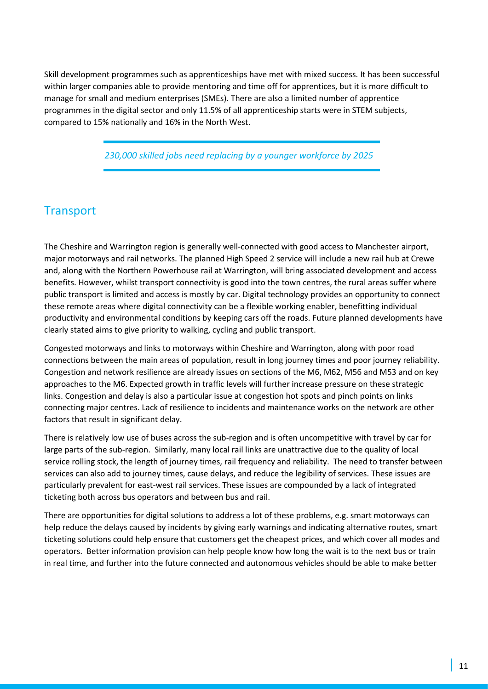Skill development programmes such as apprenticeships have met with mixed success. It has been successful within larger companies able to provide mentoring and time off for apprentices, but it is more difficult to manage for small and medium enterprises (SMEs). There are also a limited number of apprentice programmes in the digital sector and only 11.5% of all apprenticeship starts were in STEM subjects, compared to 15% nationally and 16% in the North West.

*230,000 skilled jobs need replacing by a younger workforce by 2025* 

## **Transport**

The Cheshire and Warrington region is generally well-connected with good access to Manchester airport, major motorways and rail networks. The planned High Speed 2 service will include a new rail hub at Crewe and, along with the Northern Powerhouse rail at Warrington, will bring associated development and access benefits. However, whilst transport connectivity is good into the town centres, the rural areas suffer where public transport is limited and access is mostly by car. Digital technology provides an opportunity to connect these remote areas where digital connectivity can be a flexible working enabler, benefitting individual productivity and environmental conditions by keeping cars off the roads. Future planned developments have clearly stated aims to give priority to walking, cycling and public transport.

Congested motorways and links to motorways within Cheshire and Warrington, along with poor road connections between the main areas of population, result in long journey times and poor journey reliability. Congestion and network resilience are already issues on sections of the M6, M62, M56 and M53 and on key approaches to the M6. Expected growth in traffic levels will further increase pressure on these strategic links. Congestion and delay is also a particular issue at congestion hot spots and pinch points on links connecting major centres. Lack of resilience to incidents and maintenance works on the network are other factors that result in significant delay.

There is relatively low use of buses across the sub-region and is often uncompetitive with travel by car for large parts of the sub-region. Similarly, many local rail links are unattractive due to the quality of local service rolling stock, the length of journey times, rail frequency and reliability. The need to transfer between services can also add to journey times, cause delays, and reduce the legibility of services. These issues are particularly prevalent for east-west rail services. These issues are compounded by a lack of integrated ticketing both across bus operators and between bus and rail.

There are opportunities for digital solutions to address a lot of these problems, e.g. smart motorways can help reduce the delays caused by incidents by giving early warnings and indicating alternative routes, smart ticketing solutions could help ensure that customers get the cheapest prices, and which cover all modes and operators. Better information provision can help people know how long the wait is to the next bus or train in real time, and further into the future connected and autonomous vehicles should be able to make better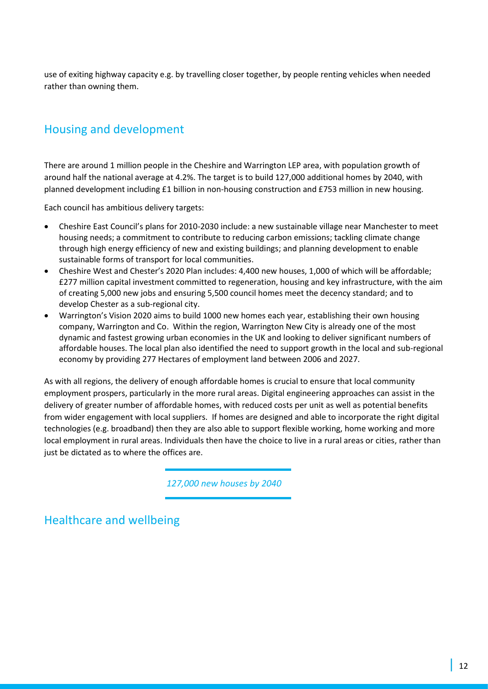use of exiting highway capacity e.g. by travelling closer together, by people renting vehicles when needed rather than owning them.

# Housing and development

There are around 1 million people in the Cheshire and Warrington LEP area, with population growth of around half the national average at 4.2%. The target is to build 127,000 additional homes by 2040, with planned development including £1 billion in non-housing construction and £753 million in new housing.

Each council has ambitious delivery targets:

- Cheshire East Council's plans for 2010-2030 include: a new sustainable village near Manchester to meet housing needs; a commitment to contribute to reducing carbon emissions; tackling climate change through high energy efficiency of new and existing buildings; and planning development to enable sustainable forms of transport for local communities.
- Cheshire West and Chester's 2020 Plan includes: 4,400 new houses, 1,000 of which will be affordable; £277 million capital investment committed to regeneration, housing and key infrastructure, with the aim of creating 5,000 new jobs and ensuring 5,500 council homes meet the decency standard; and to develop Chester as a sub-regional city.
- Warrington's Vision 2020 aims to build 1000 new homes each year, establishing their own housing company, Warrington and Co. Within the region, Warrington New City is already one of the most dynamic and fastest growing urban economies in the UK and looking to deliver significant numbers of affordable houses. The local plan also identified the need to support growth in the local and sub-regional economy by providing 277 Hectares of employment land between 2006 and 2027.

As with all regions, the delivery of enough affordable homes is crucial to ensure that local community employment prospers, particularly in the more rural areas. Digital engineering approaches can assist in the delivery of greater number of affordable homes, with reduced costs per unit as well as potential benefits from wider engagement with local suppliers. If homes are designed and able to incorporate the right digital technologies (e.g. broadband) then they are also able to support flexible working, home working and more local employment in rural areas. Individuals then have the choice to live in a rural areas or cities, rather than just be dictated as to where the offices are.

*127,000 new houses by 2040* 

Healthcare and wellbeing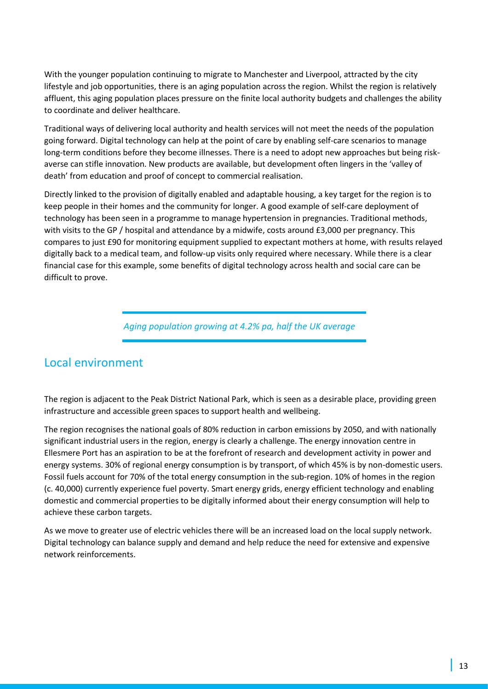With the younger population continuing to migrate to Manchester and Liverpool, attracted by the city lifestyle and job opportunities, there is an aging population across the region. Whilst the region is relatively affluent, this aging population places pressure on the finite local authority budgets and challenges the ability to coordinate and deliver healthcare.

Traditional ways of delivering local authority and health services will not meet the needs of the population going forward. Digital technology can help at the point of care by enabling self-care scenarios to manage long-term conditions before they become illnesses. There is a need to adopt new approaches but being riskaverse can stifle innovation. New products are available, but development often lingers in the 'valley of death' from education and proof of concept to commercial realisation.

Directly linked to the provision of digitally enabled and adaptable housing, a key target for the region is to keep people in their homes and the community for longer. A good example of self-care deployment of technology has been seen in a programme to manage hypertension in pregnancies. Traditional methods, with visits to the GP / hospital and attendance by a midwife, costs around £3,000 per pregnancy. This compares to just £90 for monitoring equipment supplied to expectant mothers at home, with results relayed digitally back to a medical team, and follow-up visits only required where necessary. While there is a clear financial case for this example, some benefits of digital technology across health and social care can be difficult to prove.

*Aging population growing at 4.2% pa, half the UK average* 

## Local environment

The region is adjacent to the Peak District National Park, which is seen as a desirable place, providing green infrastructure and accessible green spaces to support health and wellbeing.

The region recognises the national goals of 80% reduction in carbon emissions by 2050, and with nationally significant industrial users in the region, energy is clearly a challenge. The energy innovation centre in Ellesmere Port has an aspiration to be at the forefront of research and development activity in power and energy systems. 30% of regional energy consumption is by transport, of which 45% is by non-domestic users. Fossil fuels account for 70% of the total energy consumption in the sub-region. 10% of homes in the region (c. 40,000) currently experience fuel poverty. Smart energy grids, energy efficient technology and enabling domestic and commercial properties to be digitally informed about their energy consumption will help to achieve these carbon targets.

As we move to greater use of electric vehicles there will be an increased load on the local supply network. Digital technology can balance supply and demand and help reduce the need for extensive and expensive network reinforcements.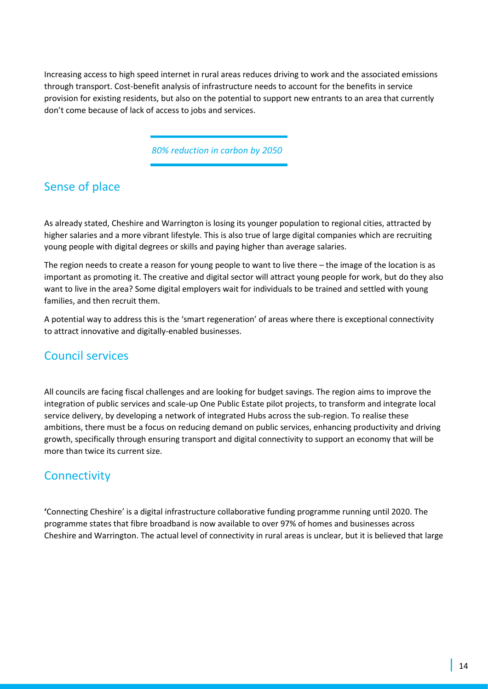Increasing access to high speed internet in rural areas reduces driving to work and the associated emissions through transport. Cost-benefit analysis of infrastructure needs to account for the benefits in service provision for existing residents, but also on the potential to support new entrants to an area that currently don't come because of lack of access to jobs and services.

*80% reduction in carbon by 2050*

# Sense of place

As already stated, Cheshire and Warrington is losing its younger population to regional cities, attracted by higher salaries and a more vibrant lifestyle. This is also true of large digital companies which are recruiting young people with digital degrees or skills and paying higher than average salaries.

The region needs to create a reason for young people to want to live there – the image of the location is as important as promoting it. The creative and digital sector will attract young people for work, but do they also want to live in the area? Some digital employers wait for individuals to be trained and settled with young families, and then recruit them.

A potential way to address this is the 'smart regeneration' of areas where there is exceptional connectivity to attract innovative and digitally-enabled businesses.

# Council services

All councils are facing fiscal challenges and are looking for budget savings. The region aims to improve the integration of public services and scale-up One Public Estate pilot projects, to transform and integrate local service delivery, by developing a network of integrated Hubs across the sub-region. To realise these ambitions, there must be a focus on reducing demand on public services, enhancing productivity and driving growth, specifically through ensuring transport and digital connectivity to support an economy that will be more than twice its current size.

# **Connectivity**

**'**Connecting Cheshire' is a digital infrastructure collaborative funding programme running until 2020. The programme states that fibre broadband is now available to over 97% of homes and businesses across Cheshire and Warrington. The actual level of connectivity in rural areas is unclear, but it is believed that large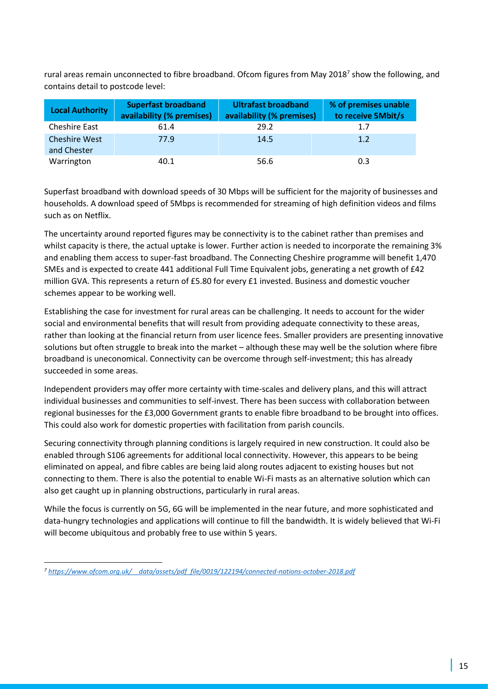rural areas remain unconnected to fibre broadband. Ofcom figures from May 2018<sup>7</sup> show the following, and contains detail to postcode level:

| <b>Local Authority</b>              | <b>Superfast broadband</b><br>availability (% premises) | <b>Ultrafast broadband</b><br>availability (% premises) | % of premises unable<br>to receive 5Mbit/s |
|-------------------------------------|---------------------------------------------------------|---------------------------------------------------------|--------------------------------------------|
| <b>Cheshire East</b>                | 61.4                                                    | 29.2                                                    | 1.7                                        |
| <b>Cheshire West</b><br>and Chester | 77.9                                                    | 14.5                                                    | 1.2                                        |
| Warrington                          | 40.1                                                    | 56.6                                                    | 0.3                                        |

Superfast broadband with download speeds of 30 Mbps will be sufficient for the majority of businesses and households. A download speed of 5Mbps is recommended for streaming of high definition videos and films such as on Netflix.

The uncertainty around reported figures may be connectivity is to the cabinet rather than premises and whilst capacity is there, the actual uptake is lower. Further action is needed to incorporate the remaining 3% and enabling them access to super-fast broadband. The Connecting Cheshire programme will benefit 1,470 SMEs and is expected to create 441 additional Full Time Equivalent jobs, generating a net growth of £42 million GVA. This represents a return of £5.80 for every £1 invested. Business and domestic voucher schemes appear to be working well.

Establishing the case for investment for rural areas can be challenging. It needs to account for the wider social and environmental benefits that will result from providing adequate connectivity to these areas, rather than looking at the financial return from user licence fees. Smaller providers are presenting innovative solutions but often struggle to break into the market – although these may well be the solution where fibre broadband is uneconomical. Connectivity can be overcome through self-investment; this has already succeeded in some areas.

Independent providers may offer more certainty with time-scales and delivery plans, and this will attract individual businesses and communities to self-invest. There has been success with collaboration between regional businesses for the £3,000 Government grants to enable fibre broadband to be brought into offices. This could also work for domestic properties with facilitation from parish councils.

Securing connectivity through planning conditions is largely required in new construction. It could also be enabled through S106 agreements for additional local connectivity. However, this appears to be being eliminated on appeal, and fibre cables are being laid along routes adjacent to existing houses but not connecting to them. There is also the potential to enable Wi-Fi masts as an alternative solution which can also get caught up in planning obstructions, particularly in rural areas.

While the focus is currently on 5G, 6G will be implemented in the near future, and more sophisticated and data-hungry technologies and applications will continue to fill the bandwidth. It is widely believed that Wi-Fi will become ubiquitous and probably free to use within 5 years.

*<sup>7</sup> [https://www.ofcom.org.uk/\\_\\_data/assets/pdf\\_file/0019/122194/connected-nations-october-2018.pdf](https://www.ofcom.org.uk/__data/assets/pdf_file/0019/122194/connected-nations-october-2018.pdf)*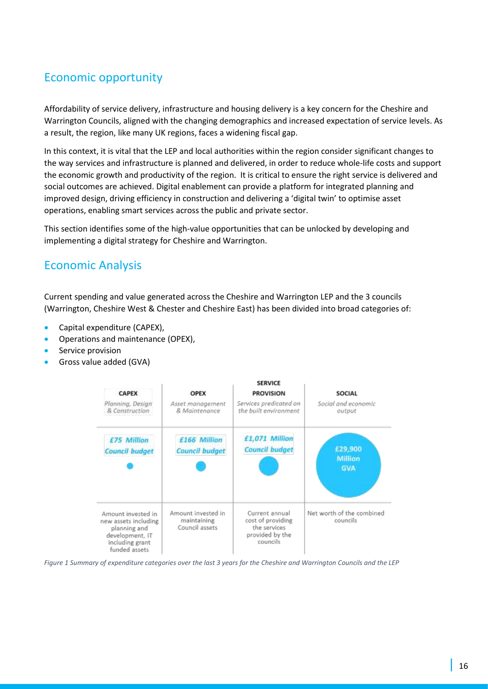# Economic opportunity

Affordability of service delivery, infrastructure and housing delivery is a key concern for the Cheshire and Warrington Councils, aligned with the changing demographics and increased expectation of service levels. As a result, the region, like many UK regions, faces a widening fiscal gap.

In this context, it is vital that the LEP and local authorities within the region consider significant changes to the way services and infrastructure is planned and delivered, in order to reduce whole-life costs and support the economic growth and productivity of the region. It is critical to ensure the right service is delivered and social outcomes are achieved. Digital enablement can provide a platform for integrated planning and improved design, driving efficiency in construction and delivering a 'digital twin' to optimise asset operations, enabling smart services across the public and private sector.

This section identifies some of the high-value opportunities that can be unlocked by developing and implementing a digital strategy for Cheshire and Warrington.

## Economic Analysis

Current spending and value generated across the Cheshire and Warrington LEP and the 3 councils (Warrington, Cheshire West & Chester and Cheshire East) has been divided into broad categories of:

- Capital expenditure (CAPEX),
- Operations and maintenance (OPEX),
- Service provision
- Gross value added (GVA)



*Figure 1 Summary of expenditure categories over the last 3 years for the Cheshire and Warrington Councils and the LEP*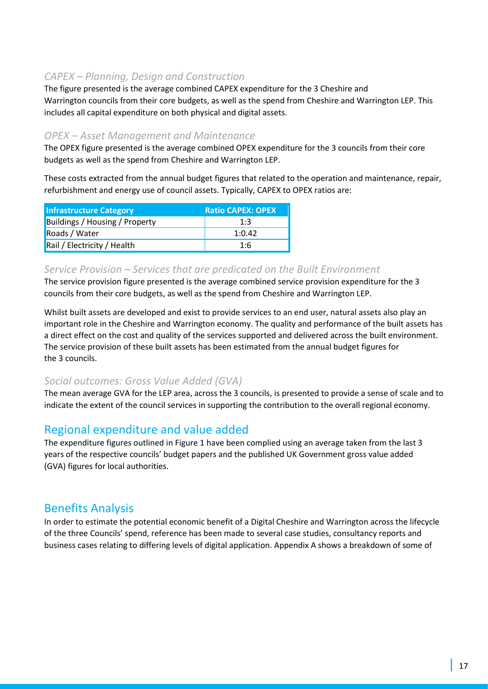## *CAPEX – Planning, Design and Construction*

The figure presented is the average combined CAPEX expenditure for the 3 Cheshire and Warrington councils from their core budgets, as well as the spend from Cheshire and Warrington LEP. This includes all capital expenditure on both physical and digital assets.

## *OPEX – Asset Management and Maintenance*

The OPEX figure presented is the average combined OPEX expenditure for the 3 councils from their core budgets as well as the spend from Cheshire and Warrington LEP.

These costs extracted from the annual budget figures that related to the operation and maintenance, repair, refurbishment and energy use of council assets. Typically, CAPEX to OPEX ratios are:

| <b>Infrastructure Category</b>        | <b>Ratio CAPEX: OPEX</b> |
|---------------------------------------|--------------------------|
| <b>Buildings / Housing / Property</b> | 1:3                      |
| Roads / Water                         | 1:0.42                   |
| Rail / Electricity / Health           | 1:6                      |

## *Service Provision – Services that are predicated on the Built Environment*

The service provision figure presented is the average combined service provision expenditure for the 3 councils from their core budgets, as well as the spend from Cheshire and Warrington LEP.

Whilst built assets are developed and exist to provide services to an end user, natural assets also play an important role in the Cheshire and Warrington economy. The quality and performance of the built assets has a direct effect on the cost and quality of the services supported and delivered across the built environment. The service provision of these built assets has been estimated from the annual budget figures for the 3 councils.

## *Social outcomes: Gross Value Added (GVA)*

The mean average GVA for the LEP area, across the 3 councils, is presented to provide a sense of scale and to indicate the extent of the council services in supporting the contribution to the overall regional economy.

## Regional expenditure and value added

The expenditure figures outlined in Figure 1 have been complied using an average taken from the last 3 years of the respective councils' budget papers and the published UK Government gross value added (GVA) figures for local authorities.

## Benefits Analysis

In order to estimate the potential economic benefit of a Digital Cheshire and Warrington across the lifecycle of the three Councils' spend, reference has been made to several case studies, consultancy reports and business cases relating to differing levels of digital application. Appendix A shows a breakdown of some of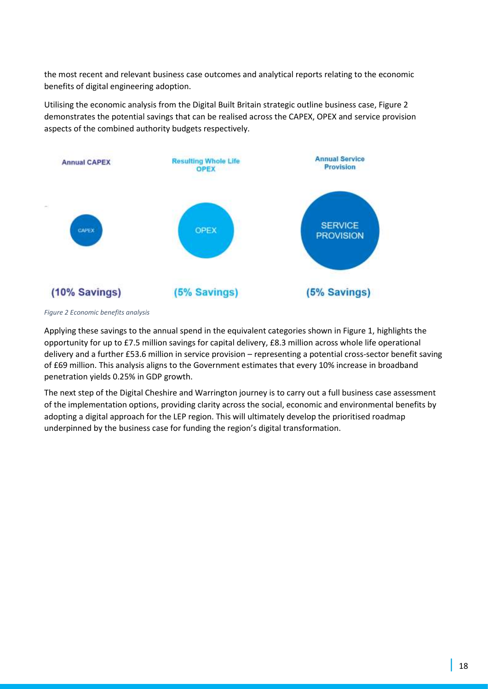the most recent and relevant business case outcomes and analytical reports relating to the economic benefits of digital engineering adoption.

Utilising the economic analysis from the Digital Built Britain strategic outline business case, Figure 2 demonstrates the potential savings that can be realised across the CAPEX, OPEX and service provision aspects of the combined authority budgets respectively.



*Figure 2 Economic benefits analysis* 

Applying these savings to the annual spend in the equivalent categories shown in Figure 1, highlights the opportunity for up to £7.5 million savings for capital delivery, £8.3 million across whole life operational delivery and a further £53.6 million in service provision – representing a potential cross-sector benefit saving of £69 million. This analysis aligns to the Government estimates that every 10% increase in broadband penetration yields 0.25% in GDP growth.

The next step of the Digital Cheshire and Warrington journey is to carry out a full business case assessment of the implementation options, providing clarity across the social, economic and environmental benefits by adopting a digital approach for the LEP region. This will ultimately develop the prioritised roadmap underpinned by the business case for funding the region's digital transformation.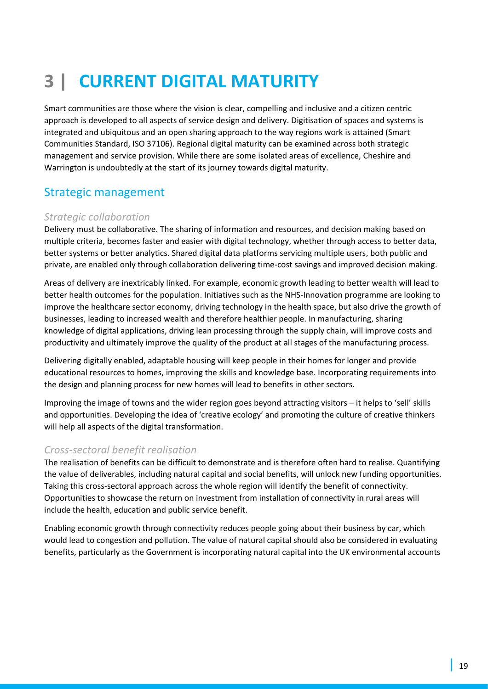# **3 | CURRENT DIGITAL MATURITY**

Smart communities are those where the vision is clear, compelling and inclusive and a citizen centric approach is developed to all aspects of service design and delivery. Digitisation of spaces and systems is integrated and ubiquitous and an open sharing approach to the way regions work is attained (Smart Communities Standard, ISO 37106). Regional digital maturity can be examined across both strategic management and service provision. While there are some isolated areas of excellence, Cheshire and Warrington is undoubtedly at the start of its journey towards digital maturity.

## Strategic management

### *Strategic collaboration*

Delivery must be collaborative. The sharing of information and resources, and decision making based on multiple criteria, becomes faster and easier with digital technology, whether through access to better data, better systems or better analytics. Shared digital data platforms servicing multiple users, both public and private, are enabled only through collaboration delivering time-cost savings and improved decision making.

Areas of delivery are inextricably linked. For example, economic growth leading to better wealth will lead to better health outcomes for the population. Initiatives such as the NHS-Innovation programme are looking to improve the healthcare sector economy, driving technology in the health space, but also drive the growth of businesses, leading to increased wealth and therefore healthier people. In manufacturing, sharing knowledge of digital applications, driving lean processing through the supply chain, will improve costs and productivity and ultimately improve the quality of the product at all stages of the manufacturing process.

Delivering digitally enabled, adaptable housing will keep people in their homes for longer and provide educational resources to homes, improving the skills and knowledge base. Incorporating requirements into the design and planning process for new homes will lead to benefits in other sectors.

Improving the image of towns and the wider region goes beyond attracting visitors – it helps to 'sell' skills and opportunities. Developing the idea of 'creative ecology' and promoting the culture of creative thinkers will help all aspects of the digital transformation.

### *Cross-sectoral benefit realisation*

The realisation of benefits can be difficult to demonstrate and is therefore often hard to realise. Quantifying the value of deliverables, including natural capital and social benefits, will unlock new funding opportunities. Taking this cross-sectoral approach across the whole region will identify the benefit of connectivity. Opportunities to showcase the return on investment from installation of connectivity in rural areas will include the health, education and public service benefit.

Enabling economic growth through connectivity reduces people going about their business by car, which would lead to congestion and pollution. The value of natural capital should also be considered in evaluating benefits, particularly as the Government is incorporating natural capital into the UK environmental accounts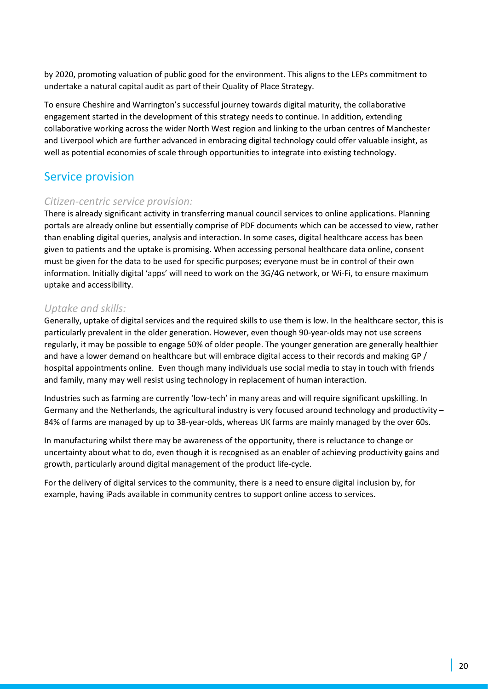by 2020, promoting valuation of public good for the environment. This aligns to the LEPs commitment to undertake a natural capital audit as part of their Quality of Place Strategy.

To ensure Cheshire and Warrington's successful journey towards digital maturity, the collaborative engagement started in the development of this strategy needs to continue. In addition, extending collaborative working across the wider North West region and linking to the urban centres of Manchester and Liverpool which are further advanced in embracing digital technology could offer valuable insight, as well as potential economies of scale through opportunities to integrate into existing technology.

## Service provision

## *Citizen-centric service provision:*

There is already significant activity in transferring manual council services to online applications. Planning portals are already online but essentially comprise of PDF documents which can be accessed to view, rather than enabling digital queries, analysis and interaction. In some cases, digital healthcare access has been given to patients and the uptake is promising. When accessing personal healthcare data online, consent must be given for the data to be used for specific purposes; everyone must be in control of their own information. Initially digital 'apps' will need to work on the 3G/4G network, or Wi-Fi, to ensure maximum uptake and accessibility.

## *Uptake and skills:*

Generally, uptake of digital services and the required skills to use them is low. In the healthcare sector, this is particularly prevalent in the older generation. However, even though 90-year-olds may not use screens regularly, it may be possible to engage 50% of older people. The younger generation are generally healthier and have a lower demand on healthcare but will embrace digital access to their records and making GP / hospital appointments online. Even though many individuals use social media to stay in touch with friends and family, many may well resist using technology in replacement of human interaction.

Industries such as farming are currently 'low-tech' in many areas and will require significant upskilling. In Germany and the Netherlands, the agricultural industry is very focused around technology and productivity – 84% of farms are managed by up to 38-year-olds, whereas UK farms are mainly managed by the over 60s.

In manufacturing whilst there may be awareness of the opportunity, there is reluctance to change or uncertainty about what to do, even though it is recognised as an enabler of achieving productivity gains and growth, particularly around digital management of the product life-cycle.

For the delivery of digital services to the community, there is a need to ensure digital inclusion by, for example, having iPads available in community centres to support online access to services.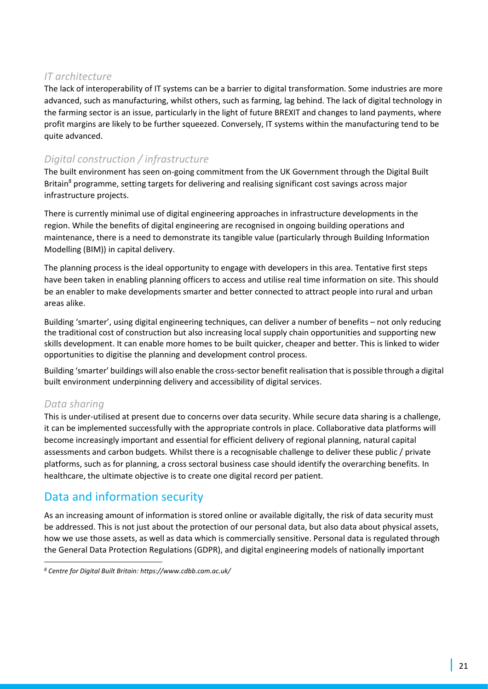## *IT architecture*

The lack of interoperability of IT systems can be a barrier to digital transformation. Some industries are more advanced, such as manufacturing, whilst others, such as farming, lag behind. The lack of digital technology in the farming sector is an issue, particularly in the light of future BREXIT and changes to land payments, where profit margins are likely to be further squeezed. Conversely, IT systems within the manufacturing tend to be quite advanced.

## *Digital construction / infrastructure*

The built environment has seen on-going commitment from the UK Government through the Digital Built Britain<sup>8</sup> programme, setting targets for delivering and realising significant cost savings across major infrastructure projects.

There is currently minimal use of digital engineering approaches in infrastructure developments in the region. While the benefits of digital engineering are recognised in ongoing building operations and maintenance, there is a need to demonstrate its tangible value (particularly through Building Information Modelling (BIM)) in capital delivery.

The planning process is the ideal opportunity to engage with developers in this area. Tentative first steps have been taken in enabling planning officers to access and utilise real time information on site. This should be an enabler to make developments smarter and better connected to attract people into rural and urban areas alike.

Building 'smarter', using digital engineering techniques, can deliver a number of benefits – not only reducing the traditional cost of construction but also increasing local supply chain opportunities and supporting new skills development. It can enable more homes to be built quicker, cheaper and better. This is linked to wider opportunities to digitise the planning and development control process.

Building 'smarter' buildings will also enable the cross-sector benefit realisation that is possible through a digital built environment underpinning delivery and accessibility of digital services.

## *Data sharing*

This is under-utilised at present due to concerns over data security. While secure data sharing is a challenge, it can be implemented successfully with the appropriate controls in place. Collaborative data platforms will become increasingly important and essential for efficient delivery of regional planning, natural capital assessments and carbon budgets. Whilst there is a recognisable challenge to deliver these public / private platforms, such as for planning, a cross sectoral business case should identify the overarching benefits. In healthcare, the ultimate objective is to create one digital record per patient.

## Data and information security

As an increasing amount of information is stored online or available digitally, the risk of data security must be addressed. This is not just about the protection of our personal data, but also data about physical assets, how we use those assets, as well as data which is commercially sensitive. Personal data is regulated through the General Data Protection Regulations (GDPR), and digital engineering models of nationally important

*<sup>8</sup> Centre for Digital Built Britain: https://www.cdbb.cam.ac.uk/*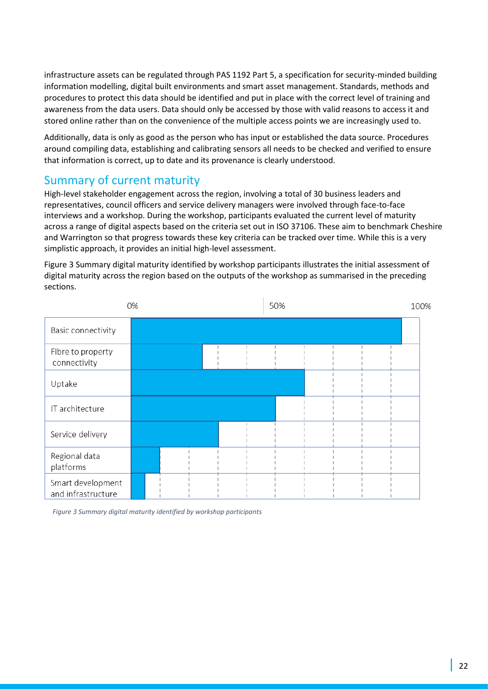infrastructure assets can be regulated through PAS 1192 Part 5, a specification for security-minded building information modelling, digital built environments and smart asset management. Standards, methods and procedures to protect this data should be identified and put in place with the correct level of training and awareness from the data users. Data should only be accessed by those with valid reasons to access it and stored online rather than on the convenience of the multiple access points we are increasingly used to.

Additionally, data is only as good as the person who has input or established the data source. Procedures around compiling data, establishing and calibrating sensors all needs to be checked and verified to ensure that information is correct, up to date and its provenance is clearly understood.

## Summary of current maturity

High-level stakeholder engagement across the region, involving a total of 30 business leaders and representatives, council officers and service delivery managers were involved through face-to-face interviews and a workshop. During the workshop, participants evaluated the current level of maturity across a range of digital aspects based on the criteria set out in ISO 37106. These aim to benchmark Cheshire and Warrington so that progress towards these key criteria can be tracked over time. While this is a very simplistic approach, it provides an initial high-level assessment.

Figure 3 Summary digital maturity [identified by workshop participants](#page-21-0) illustrates the initial assessment of digital maturity across the region based on the outputs of the workshop as summarised in the preceding sections.

|                                         | 0% |  |  | 50% |  | 100% |
|-----------------------------------------|----|--|--|-----|--|------|
| Basic connectivity                      |    |  |  |     |  |      |
| Fibre to property<br>connectivity       |    |  |  |     |  |      |
| Uptake                                  |    |  |  |     |  |      |
| IT architecture                         |    |  |  |     |  |      |
| Service delivery                        |    |  |  |     |  |      |
| Regional data<br>platforms              |    |  |  |     |  |      |
| Smart development<br>and infrastructure |    |  |  |     |  |      |

<span id="page-21-0"></span> *Figure 3 Summary digital maturity identified by workshop participants*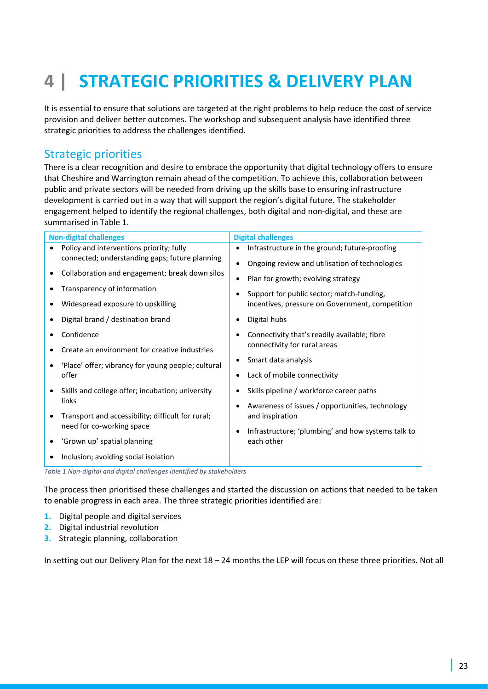# **4 | STRATEGIC PRIORITIES & DELIVERY PLAN**

It is essential to ensure that solutions are targeted at the right problems to help reduce the cost of service provision and deliver better outcomes. The workshop and subsequent analysis have identified three strategic priorities to address the challenges identified.

## Strategic priorities

There is a clear recognition and desire to embrace the opportunity that digital technology offers to ensure that Cheshire and Warrington remain ahead of the competition. To achieve this, collaboration between public and private sectors will be needed from driving up the skills base to ensuring infrastructure development is carried out in a way that will support the region's digital future. The stakeholder engagement helped to identify the regional challenges, both digital and non-digital, and these are summarised in Table 1.

| <b>Non-digital challenges</b>                      | <b>Digital challenges</b>                          |
|----------------------------------------------------|----------------------------------------------------|
| Policy and interventions priority; fully           | Infrastructure in the ground; future-proofing      |
| connected; understanding gaps; future planning     | Ongoing review and utilisation of technologies     |
| Collaboration and engagement; break down silos     | Plan for growth; evolving strategy                 |
| Transparency of information                        | Support for public sector; match-funding,          |
| Widespread exposure to upskilling                  | incentives, pressure on Government, competition    |
| Digital brand / destination brand                  | Digital hubs                                       |
| Confidence                                         | Connectivity that's readily available; fibre       |
| Create an environment for creative industries      | connectivity for rural areas                       |
| 'Place' offer; vibrancy for young people; cultural | Smart data analysis                                |
| offer                                              | Lack of mobile connectivity                        |
| Skills and college offer; incubation; university   | Skills pipeline / workforce career paths           |
| links                                              | Awareness of issues / opportunities, technology    |
| Transport and accessibility; difficult for rural;  | and inspiration                                    |
| need for co-working space                          | Infrastructure; 'plumbing' and how systems talk to |
| 'Grown up' spatial planning                        | each other                                         |
| Inclusion; avoiding social isolation               |                                                    |

*Table 1 Non-digital and digital challenges identified by stakeholders* 

The process then prioritised these challenges and started the discussion on actions that needed to be taken to enable progress in each area. The three strategic priorities identified are:

- **1.** Digital people and digital services
- **2.** Digital industrial revolution
- **3.** Strategic planning, collaboration

In setting out our Delivery Plan for the next 18 – 24 months the LEP will focus on these three priorities. Not all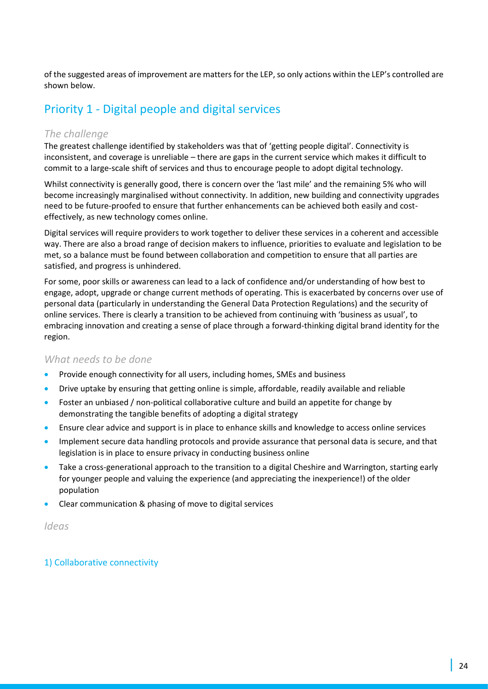of the suggested areas of improvement are matters for the LEP, so only actions within the LEP's controlled are shown below.

# Priority 1 - Digital people and digital services

### *The challenge*

The greatest challenge identified by stakeholders was that of 'getting people digital'. Connectivity is inconsistent, and coverage is unreliable – there are gaps in the current service which makes it difficult to commit to a large-scale shift of services and thus to encourage people to adopt digital technology.

Whilst connectivity is generally good, there is concern over the 'last mile' and the remaining 5% who will become increasingly marginalised without connectivity. In addition, new building and connectivity upgrades need to be future-proofed to ensure that further enhancements can be achieved both easily and costeffectively, as new technology comes online.

Digital services will require providers to work together to deliver these services in a coherent and accessible way. There are also a broad range of decision makers to influence, priorities to evaluate and legislation to be met, so a balance must be found between collaboration and competition to ensure that all parties are satisfied, and progress is unhindered.

For some, poor skills or awareness can lead to a lack of confidence and/or understanding of how best to engage, adopt, upgrade or change current methods of operating. This is exacerbated by concerns over use of personal data (particularly in understanding the General Data Protection Regulations) and the security of online services. There is clearly a transition to be achieved from continuing with 'business as usual', to embracing innovation and creating a sense of place through a forward-thinking digital brand identity for the region.

### *What needs to be done*

- Provide enough connectivity for all users, including homes, SMEs and business
- Drive uptake by ensuring that getting online is simple, affordable, readily available and reliable
- Foster an unbiased / non-political collaborative culture and build an appetite for change by demonstrating the tangible benefits of adopting a digital strategy
- Ensure clear advice and support is in place to enhance skills and knowledge to access online services
- Implement secure data handling protocols and provide assurance that personal data is secure, and that legislation is in place to ensure privacy in conducting business online
- Take a cross-generational approach to the transition to a digital Cheshire and Warrington, starting early for younger people and valuing the experience (and appreciating the inexperience!) of the older population
- Clear communication & phasing of move to digital services

*Ideas*

### 1) Collaborative connectivity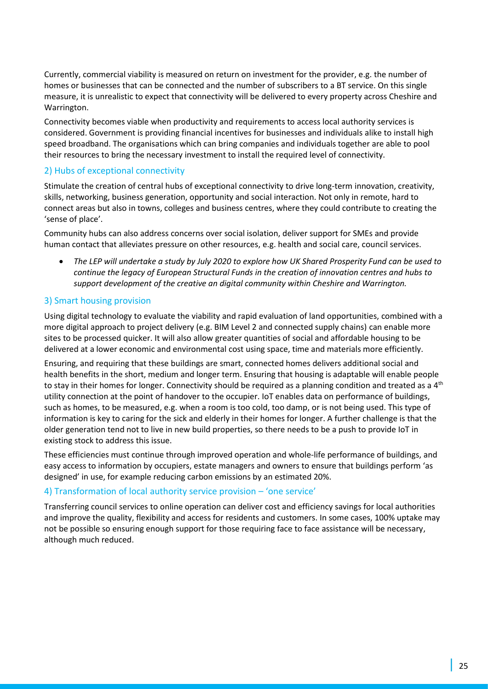Currently, commercial viability is measured on return on investment for the provider, e.g. the number of homes or businesses that can be connected and the number of subscribers to a BT service. On this single measure, it is unrealistic to expect that connectivity will be delivered to every property across Cheshire and Warrington.

Connectivity becomes viable when productivity and requirements to access local authority services is considered. Government is providing financial incentives for businesses and individuals alike to install high speed broadband. The organisations which can bring companies and individuals together are able to pool their resources to bring the necessary investment to install the required level of connectivity.

### 2) Hubs of exceptional connectivity

Stimulate the creation of central hubs of exceptional connectivity to drive long-term innovation, creativity, skills, networking, business generation, opportunity and social interaction. Not only in remote, hard to connect areas but also in towns, colleges and business centres, where they could contribute to creating the 'sense of place'.

Community hubs can also address concerns over social isolation, deliver support for SMEs and provide human contact that alleviates pressure on other resources, e.g. health and social care, council services.

• *The LEP will undertake a study by July 2020 to explore how UK Shared Prosperity Fund can be used to continue the legacy of European Structural Funds in the creation of innovation centres and hubs to support development of the creative an digital community within Cheshire and Warrington.* 

#### 3) Smart housing provision

Using digital technology to evaluate the viability and rapid evaluation of land opportunities, combined with a more digital approach to project delivery (e.g. BIM Level 2 and connected supply chains) can enable more sites to be processed quicker. It will also allow greater quantities of social and affordable housing to be delivered at a lower economic and environmental cost using space, time and materials more efficiently.

Ensuring, and requiring that these buildings are smart, connected homes delivers additional social and health benefits in the short, medium and longer term. Ensuring that housing is adaptable will enable people to stay in their homes for longer. Connectivity should be required as a planning condition and treated as a 4<sup>th</sup> utility connection at the point of handover to the occupier. IoT enables data on performance of buildings, such as homes, to be measured, e.g. when a room is too cold, too damp, or is not being used. This type of information is key to caring for the sick and elderly in their homes for longer. A further challenge is that the older generation tend not to live in new build properties, so there needs to be a push to provide IoT in existing stock to address this issue.

These efficiencies must continue through improved operation and whole-life performance of buildings, and easy access to information by occupiers, estate managers and owners to ensure that buildings perform 'as designed' in use, for example reducing carbon emissions by an estimated 20%.

#### 4) Transformation of local authority service provision – 'one service'

Transferring council services to online operation can deliver cost and efficiency savings for local authorities and improve the quality, flexibility and access for residents and customers. In some cases, 100% uptake may not be possible so ensuring enough support for those requiring face to face assistance will be necessary, although much reduced.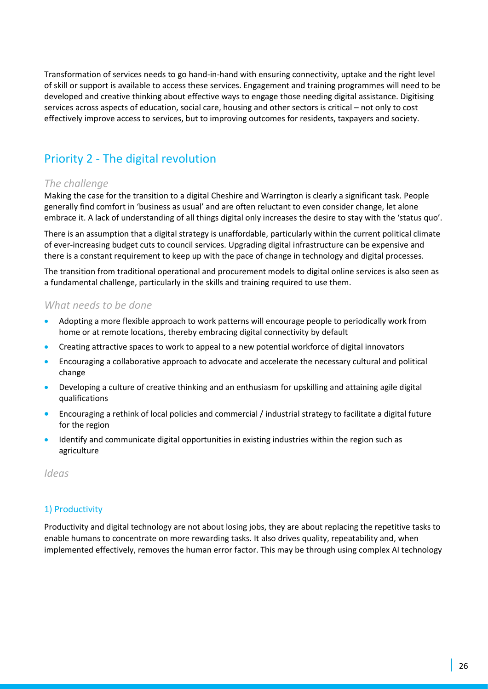Transformation of services needs to go hand-in-hand with ensuring connectivity, uptake and the right level of skill or support is available to access these services. Engagement and training programmes will need to be developed and creative thinking about effective ways to engage those needing digital assistance. Digitising services across aspects of education, social care, housing and other sectors is critical – not only to cost effectively improve access to services, but to improving outcomes for residents, taxpayers and society.

# Priority 2 - The digital revolution

## *The challenge*

Making the case for the transition to a digital Cheshire and Warrington is clearly a significant task. People generally find comfort in 'business as usual' and are often reluctant to even consider change, let alone embrace it. A lack of understanding of all things digital only increases the desire to stay with the 'status quo'.

There is an assumption that a digital strategy is unaffordable, particularly within the current political climate of ever-increasing budget cuts to council services. Upgrading digital infrastructure can be expensive and there is a constant requirement to keep up with the pace of change in technology and digital processes.

The transition from traditional operational and procurement models to digital online services is also seen as a fundamental challenge, particularly in the skills and training required to use them.

#### *What needs to be done*

- Adopting a more flexible approach to work patterns will encourage people to periodically work from home or at remote locations, thereby embracing digital connectivity by default
- Creating attractive spaces to work to appeal to a new potential workforce of digital innovators
- Encouraging a collaborative approach to advocate and accelerate the necessary cultural and political change
- Developing a culture of creative thinking and an enthusiasm for upskilling and attaining agile digital qualifications
- Encouraging a rethink of local policies and commercial / industrial strategy to facilitate a digital future for the region
- Identify and communicate digital opportunities in existing industries within the region such as agriculture

*Ideas*

### 1) Productivity

Productivity and digital technology are not about losing jobs, they are about replacing the repetitive tasks to enable humans to concentrate on more rewarding tasks. It also drives quality, repeatability and, when implemented effectively, removes the human error factor. This may be through using complex AI technology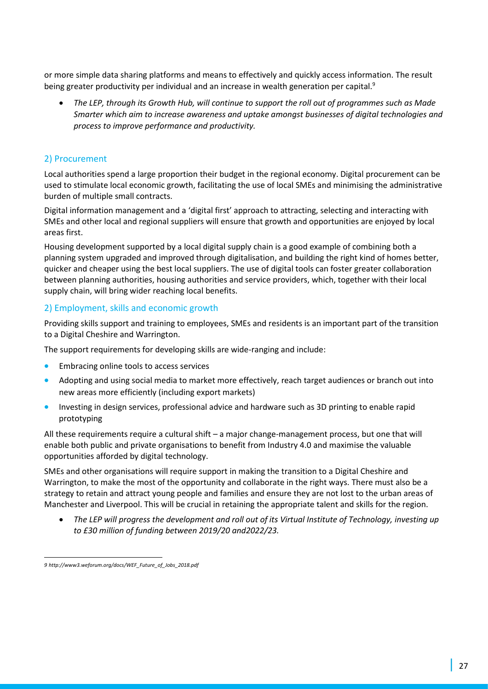or more simple data sharing platforms and means to effectively and quickly access information. The result being greater productivity per individual and an increase in wealth generation per capital.<sup>9</sup>

• *The LEP, through its Growth Hub, will continue to support the roll out of programmes such as Made Smarter which aim to increase awareness and uptake amongst businesses of digital technologies and process to improve performance and productivity.* 

#### 2) Procurement

Local authorities spend a large proportion their budget in the regional economy. Digital procurement can be used to stimulate local economic growth, facilitating the use of local SMEs and minimising the administrative burden of multiple small contracts.

Digital information management and a 'digital first' approach to attracting, selecting and interacting with SMEs and other local and regional suppliers will ensure that growth and opportunities are enjoyed by local areas first.

Housing development supported by a local digital supply chain is a good example of combining both a planning system upgraded and improved through digitalisation, and building the right kind of homes better, quicker and cheaper using the best local suppliers. The use of digital tools can foster greater collaboration between planning authorities, housing authorities and service providers, which, together with their local supply chain, will bring wider reaching local benefits.

### 2) Employment, skills and economic growth

Providing skills support and training to employees, SMEs and residents is an important part of the transition to a Digital Cheshire and Warrington.

The support requirements for developing skills are wide-ranging and include:

- Embracing online tools to access services
- Adopting and using social media to market more effectively, reach target audiences or branch out into new areas more efficiently (including export markets)
- Investing in design services, professional advice and hardware such as 3D printing to enable rapid prototyping

All these requirements require a cultural shift – a major change-management process, but one that will enable both public and private organisations to benefit from Industry 4.0 and maximise the valuable opportunities afforded by digital technology.

SMEs and other organisations will require support in making the transition to a Digital Cheshire and Warrington, to make the most of the opportunity and collaborate in the right ways. There must also be a strategy to retain and attract young people and families and ensure they are not lost to the urban areas of Manchester and Liverpool. This will be crucial in retaining the appropriate talent and skills for the region.

• *The LEP will progress the development and roll out of its Virtual Institute of Technology, investing up to £30 million of funding between 2019/20 and2022/23.* 

*<sup>9</sup> http://www3.weforum.org/docs/WEF\_Future\_of\_Jobs\_2018.pdf*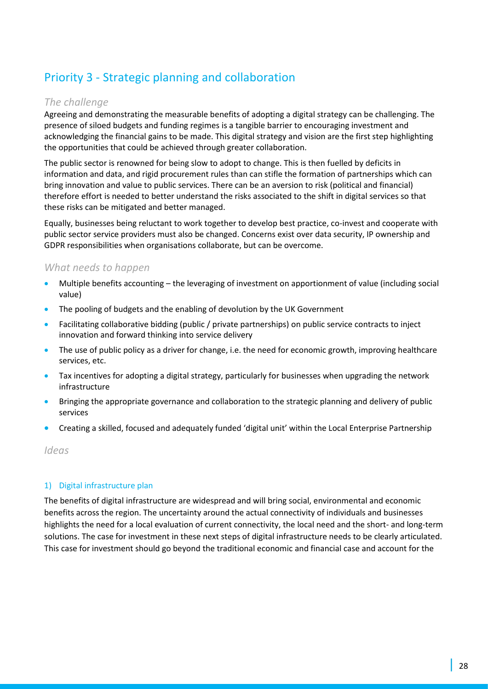# Priority 3 - Strategic planning and collaboration

### *The challenge*

Agreeing and demonstrating the measurable benefits of adopting a digital strategy can be challenging. The presence of siloed budgets and funding regimes is a tangible barrier to encouraging investment and acknowledging the financial gains to be made. This digital strategy and vision are the first step highlighting the opportunities that could be achieved through greater collaboration.

The public sector is renowned for being slow to adopt to change. This is then fuelled by deficits in information and data, and rigid procurement rules than can stifle the formation of partnerships which can bring innovation and value to public services. There can be an aversion to risk (political and financial) therefore effort is needed to better understand the risks associated to the shift in digital services so that these risks can be mitigated and better managed.

Equally, businesses being reluctant to work together to develop best practice, co-invest and cooperate with public sector service providers must also be changed. Concerns exist over data security, IP ownership and GDPR responsibilities when organisations collaborate, but can be overcome.

## *What needs to happen*

- Multiple benefits accounting the leveraging of investment on apportionment of value (including social value)
- The pooling of budgets and the enabling of devolution by the UK Government
- Facilitating collaborative bidding (public / private partnerships) on public service contracts to inject innovation and forward thinking into service delivery
- The use of public policy as a driver for change, i.e. the need for economic growth, improving healthcare services, etc.
- Tax incentives for adopting a digital strategy, particularly for businesses when upgrading the network infrastructure
- Bringing the appropriate governance and collaboration to the strategic planning and delivery of public services
- Creating a skilled, focused and adequately funded 'digital unit' within the Local Enterprise Partnership

*Ideas* 

### 1) Digital infrastructure plan

The benefits of digital infrastructure are widespread and will bring social, environmental and economic benefits across the region. The uncertainty around the actual connectivity of individuals and businesses highlights the need for a local evaluation of current connectivity, the local need and the short- and long-term solutions. The case for investment in these next steps of digital infrastructure needs to be clearly articulated. This case for investment should go beyond the traditional economic and financial case and account for the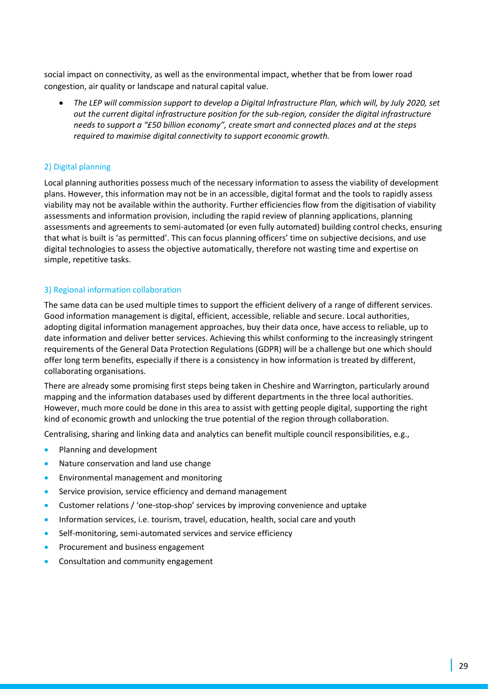social impact on connectivity, as well as the environmental impact, whether that be from lower road congestion, air quality or landscape and natural capital value.

• *The LEP will commission support to develop a Digital Infrastructure Plan, which will, by July 2020, set out the current digital infrastructure position for the sub-region, consider the digital infrastructure needs to support a "£50 billion economy", create smart and connected places and at the steps required to maximise digital connectivity to support economic growth.* 

#### 2) Digital planning

Local planning authorities possess much of the necessary information to assess the viability of development plans. However, this information may not be in an accessible, digital format and the tools to rapidly assess viability may not be available within the authority. Further efficiencies flow from the digitisation of viability assessments and information provision, including the rapid review of planning applications, planning assessments and agreements to semi-automated (or even fully automated) building control checks, ensuring that what is built is 'as permitted'. This can focus planning officers' time on subjective decisions, and use digital technologies to assess the objective automatically, therefore not wasting time and expertise on simple, repetitive tasks.

#### 3) Regional information collaboration

The same data can be used multiple times to support the efficient delivery of a range of different services. Good information management is digital, efficient, accessible, reliable and secure. Local authorities, adopting digital information management approaches, buy their data once, have access to reliable, up to date information and deliver better services. Achieving this whilst conforming to the increasingly stringent requirements of the General Data Protection Regulations (GDPR) will be a challenge but one which should offer long term benefits, especially if there is a consistency in how information is treated by different, collaborating organisations.

There are already some promising first steps being taken in Cheshire and Warrington, particularly around mapping and the information databases used by different departments in the three local authorities. However, much more could be done in this area to assist with getting people digital, supporting the right kind of economic growth and unlocking the true potential of the region through collaboration.

Centralising, sharing and linking data and analytics can benefit multiple council responsibilities, e.g.,

- Planning and development
- Nature conservation and land use change
- Environmental management and monitoring
- Service provision, service efficiency and demand management
- Customer relations / 'one-stop-shop' services by improving convenience and uptake
- Information services, i.e. tourism, travel, education, health, social care and youth
- Self-monitoring, semi-automated services and service efficiency
- Procurement and business engagement
- Consultation and community engagement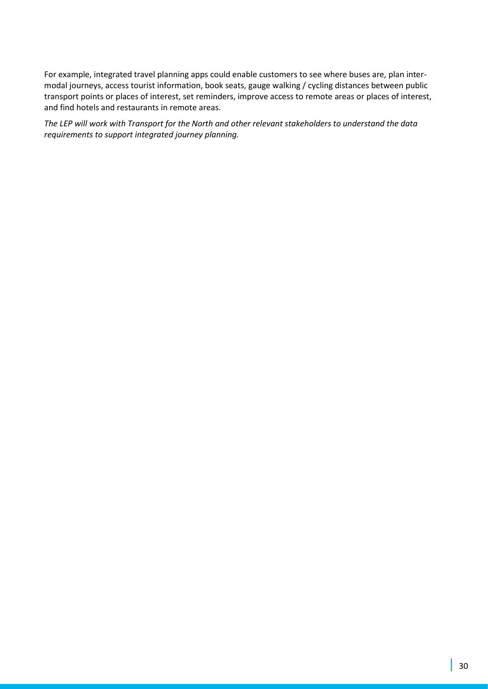For example, integrated travel planning apps could enable customers to see where buses are, plan intermodal journeys, access tourist information, book seats, gauge walking / cycling distances between public transport points or places of interest, set reminders, improve access to remote areas or places of interest, and find hotels and restaurants in remote areas.

*The LEP will work with Transport for the North and other relevant stakeholders to understand the data requirements to support integrated journey planning.*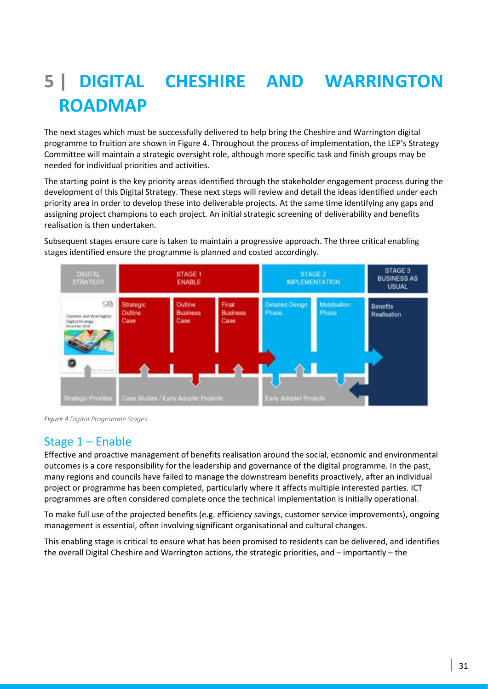# **5 | DIGITAL CHESHIRE AND WARRINGTON ROADMAP**

The next stages which must be successfully delivered to help bring the Cheshire and Warrington digital programme to fruition are shown in Figure 4. Throughout the process of implementation, the LEP's Strategy Committee will maintain a strategic oversight role, although more specific task and finish groups may be needed for individual priorities and activities.

The starting point is the key priority areas identified through the stakeholder engagement process during the development of this Digital Strategy. These next steps will review and detail the ideas identified under each priority area in order to develop these into deliverable projects. At the same time identifying any gaps and assigning project champions to each project. An initial strategic screening of deliverability and benefits realisation is then undertaken.

Subsequent stages ensure care is taken to maintain a progressive approach. The three critical enabling stages identified ensure the programme is planned and costed accordingly.



*Figure 4 Digital Programme Stages*

## Stage 1 – Enable

Effective and proactive management of benefits realisation around the social, economic and environmental outcomes is a core responsibility for the leadership and governance of the digital programme. In the past, many regions and councils have failed to manage the downstream benefits proactively, after an individual project or programme has been completed, particularly where it affects multiple interested parties. ICT programmes are often considered complete once the technical implementation is initially operational.

To make full use of the projected benefits (e.g. efficiency savings, customer service improvements), ongoing management is essential, often involving significant organisational and cultural changes.

This enabling stage is critical to ensure what has been promised to residents can be delivered, and identifies the overall Digital Cheshire and Warrington actions, the strategic priorities, and – importantly – the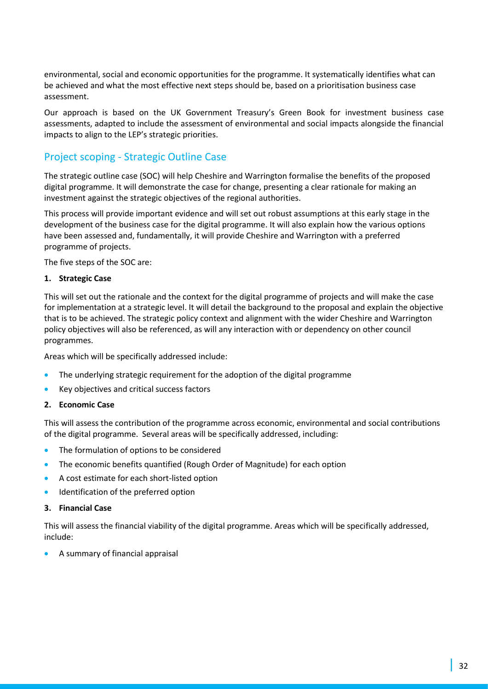environmental, social and economic opportunities for the programme. It systematically identifies what can be achieved and what the most effective next steps should be, based on a prioritisation business case assessment.

Our approach is based on the UK Government Treasury's Green Book for investment business case assessments, adapted to include the assessment of environmental and social impacts alongside the financial impacts to align to the LEP's strategic priorities.

## Project scoping - Strategic Outline Case

The strategic outline case (SOC) will help Cheshire and Warrington formalise the benefits of the proposed digital programme. It will demonstrate the case for change, presenting a clear rationale for making an investment against the strategic objectives of the regional authorities.

This process will provide important evidence and will set out robust assumptions at this early stage in the development of the business case for the digital programme. It will also explain how the various options have been assessed and, fundamentally, it will provide Cheshire and Warrington with a preferred programme of projects.

The five steps of the SOC are:

#### **1. Strategic Case**

This will set out the rationale and the context for the digital programme of projects and will make the case for implementation at a strategic level. It will detail the background to the proposal and explain the objective that is to be achieved. The strategic policy context and alignment with the wider Cheshire and Warrington policy objectives will also be referenced, as will any interaction with or dependency on other council programmes.

Areas which will be specifically addressed include:

- The underlying strategic requirement for the adoption of the digital programme
- Key objectives and critical success factors

#### **2. Economic Case**

This will assess the contribution of the programme across economic, environmental and social contributions of the digital programme. Several areas will be specifically addressed, including:

- The formulation of options to be considered
- The economic benefits quantified (Rough Order of Magnitude) for each option
- A cost estimate for each short-listed option
- Identification of the preferred option

#### **3. Financial Case**

This will assess the financial viability of the digital programme. Areas which will be specifically addressed, include:

• A summary of financial appraisal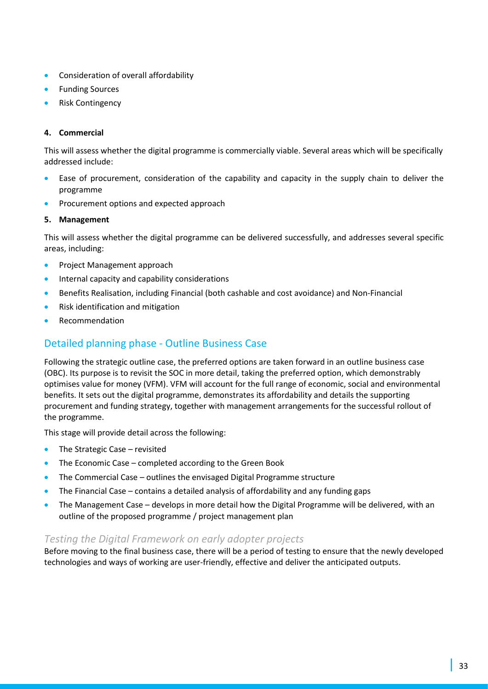- Consideration of overall affordability
- Funding Sources
- Risk Contingency

#### **4. Commercial**

This will assess whether the digital programme is commercially viable. Several areas which will be specifically addressed include:

- Ease of procurement, consideration of the capability and capacity in the supply chain to deliver the programme
- Procurement options and expected approach

#### **5. Management**

This will assess whether the digital programme can be delivered successfully, and addresses several specific areas, including:

- Project Management approach
- Internal capacity and capability considerations
- Benefits Realisation, including Financial (both cashable and cost avoidance) and Non-Financial
- Risk identification and mitigation
- Recommendation

## Detailed planning phase - Outline Business Case

Following the strategic outline case, the preferred options are taken forward in an outline business case (OBC). Its purpose is to revisit the SOC in more detail, taking the preferred option, which demonstrably optimises value for money (VFM). VFM will account for the full range of economic, social and environmental benefits. It sets out the digital programme, demonstrates its affordability and details the supporting procurement and funding strategy, together with management arrangements for the successful rollout of the programme.

This stage will provide detail across the following:

- The Strategic Case revisited
- The Economic Case completed according to the Green Book
- The Commercial Case outlines the envisaged Digital Programme structure
- The Financial Case contains a detailed analysis of affordability and any funding gaps
- The Management Case develops in more detail how the Digital Programme will be delivered, with an outline of the proposed programme / project management plan

## *Testing the Digital Framework on early adopter projects*

Before moving to the final business case, there will be a period of testing to ensure that the newly developed technologies and ways of working are user-friendly, effective and deliver the anticipated outputs.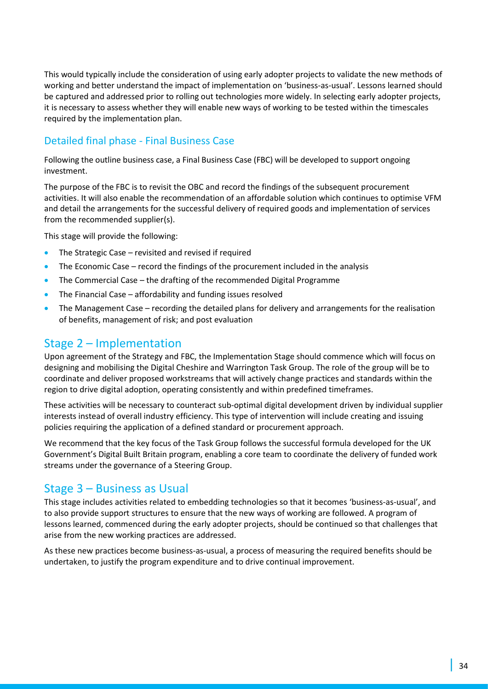This would typically include the consideration of using early adopter projects to validate the new methods of working and better understand the impact of implementation on 'business-as-usual'. Lessons learned should be captured and addressed prior to rolling out technologies more widely. In selecting early adopter projects, it is necessary to assess whether they will enable new ways of working to be tested within the timescales required by the implementation plan.

## Detailed final phase - Final Business Case

Following the outline business case, a Final Business Case (FBC) will be developed to support ongoing investment.

The purpose of the FBC is to revisit the OBC and record the findings of the subsequent procurement activities. It will also enable the recommendation of an affordable solution which continues to optimise VFM and detail the arrangements for the successful delivery of required goods and implementation of services from the recommended supplier(s).

This stage will provide the following:

- The Strategic Case revisited and revised if required
- The Economic Case record the findings of the procurement included in the analysis
- The Commercial Case the drafting of the recommended Digital Programme
- The Financial Case affordability and funding issues resolved
- The Management Case recording the detailed plans for delivery and arrangements for the realisation of benefits, management of risk; and post evaluation

## Stage 2 – Implementation

Upon agreement of the Strategy and FBC, the Implementation Stage should commence which will focus on designing and mobilising the Digital Cheshire and Warrington Task Group. The role of the group will be to coordinate and deliver proposed workstreams that will actively change practices and standards within the region to drive digital adoption, operating consistently and within predefined timeframes.

These activities will be necessary to counteract sub-optimal digital development driven by individual supplier interests instead of overall industry efficiency. This type of intervention will include creating and issuing policies requiring the application of a defined standard or procurement approach.

We recommend that the key focus of the Task Group follows the successful formula developed for the UK Government's Digital Built Britain program, enabling a core team to coordinate the delivery of funded work streams under the governance of a Steering Group.

## Stage 3 – Business as Usual

This stage includes activities related to embedding technologies so that it becomes 'business-as-usual', and to also provide support structures to ensure that the new ways of working are followed. A program of lessons learned, commenced during the early adopter projects, should be continued so that challenges that arise from the new working practices are addressed.

As these new practices become business-as-usual, a process of measuring the required benefits should be undertaken, to justify the program expenditure and to drive continual improvement.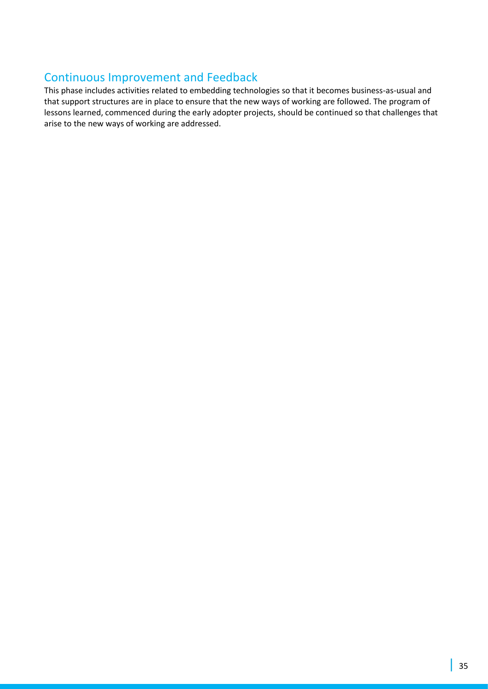## Continuous Improvement and Feedback

This phase includes activities related to embedding technologies so that it becomes business-as-usual and that support structures are in place to ensure that the new ways of working are followed. The program of lessons learned, commenced during the early adopter projects, should be continued so that challenges that arise to the new ways of working are addressed.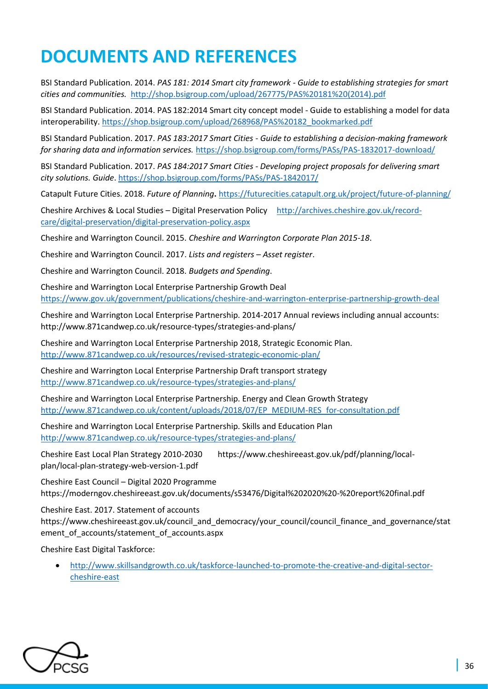# **DOCUMENTS AND REFERENCES**

BSI Standard Publication. 2014. *PAS 181: 2014 Smart city framework - Guide to establishing strategies for smart cities and communities.* [http://shop.bsigroup.com/upload/267775/PAS%20181%20\(2014\).pdf](http://shop.bsigroup.com/upload/267775/PAS%20181%20(2014).pdf)

BSI Standard Publication. 2014. PAS 182:2014 Smart city concept model - Guide to establishing a model for data interoperability[. https://shop.bsigroup.com/upload/268968/PAS%20182\\_bookmarked.pdf](https://shop.bsigroup.com/upload/268968/PAS%20182_bookmarked.pdf)

BSI Standard Publication. 2017. *PAS 183:2017 Smart Cities - Guide to establishing a decision-making framework for sharing data and information services.* <https://shop.bsigroup.com/forms/PASs/PAS-1832017-download/>

BSI Standard Publication. 2017. *PAS 184:2017 Smart Cities - Developing project proposals for delivering smart city solutions. Guide*[. https://shop.bsigroup.com/forms/PASs/PAS-1842017/](https://shop.bsigroup.com/forms/PASs/PAS-1842017/)

Catapult Future Cities. 2018. *Future of Planning***.** <https://futurecities.catapult.org.uk/project/future-of-planning/>

Cheshire Archives & Local Studies – Digital Preservation Policy http://archives.cheshire.gov.uk/recordcare/digital-preservation/digital-preservation-policy.aspx

Cheshire and Warrington Council. 2015. *Cheshire and Warrington Corporate Plan 2015-18*.

Cheshire and Warrington Council. 2017. *Lists and registers – Asset register*.

Cheshire and Warrington Council. 2018. *Budgets and Spending*.

Cheshire and Warrington Local Enterprise Partnership Growth Deal https://www.gov.uk/government/publications/cheshire-and-warrington-enterprise-partnership-growth-deal

Cheshire and Warrington Local Enterprise Partnership. 2014-2017 Annual reviews including annual accounts: http://www.871candwep.co.uk/resource-types/strategies-and-plans/

Cheshire and Warrington Local Enterprise Partnership 2018, Strategic Economic Plan. <http://www.871candwep.co.uk/resources/revised-strategic-economic-plan/>

Cheshire and Warrington Local Enterprise Partnership Draft transport strategy http://www.871candwep.co.uk/resource-types/strategies-and-plans/

Cheshire and Warrington Local Enterprise Partnership. Energy and Clean Growth Strategy [http://www.871candwep.co.uk/content/uploads/2018/07/EP\\_MEDIUM-RES\\_for-consultation.pdf](http://www.871candwep.co.uk/content/uploads/2018/07/EP_MEDIUM-RES_for-consultation.pdf)

Cheshire and Warrington Local Enterprise Partnership. Skills and Education Plan http://www.871candwep.co.uk/resource-types/strategies-and-plans/

Cheshire East Local Plan Strategy 2010-2030 https://www.cheshireeast.gov.uk/pdf/planning/localplan/local-plan-strategy-web-version-1.pdf

Cheshire East Council – Digital 2020 Programme https://moderngov.cheshireeast.gov.uk/documents/s53476/Digital%202020%20-%20report%20final.pdf

Cheshire East. 2017. Statement of accounts

https://www.cheshireeast.gov.uk/council\_and\_democracy/your\_council/council\_finance\_and\_governance/stat ement of accounts/statement of accounts.aspx

Cheshire East Digital Taskforce:

• [http://www.skillsandgrowth.co.uk/taskforce-launched-to-promote-the-creative-and-digital-sector](http://www.skillsandgrowth.co.uk/taskforce-launched-to-promote-the-creative-and-digital-sector-cheshire-east)[cheshire-east](http://www.skillsandgrowth.co.uk/taskforce-launched-to-promote-the-creative-and-digital-sector-cheshire-east)

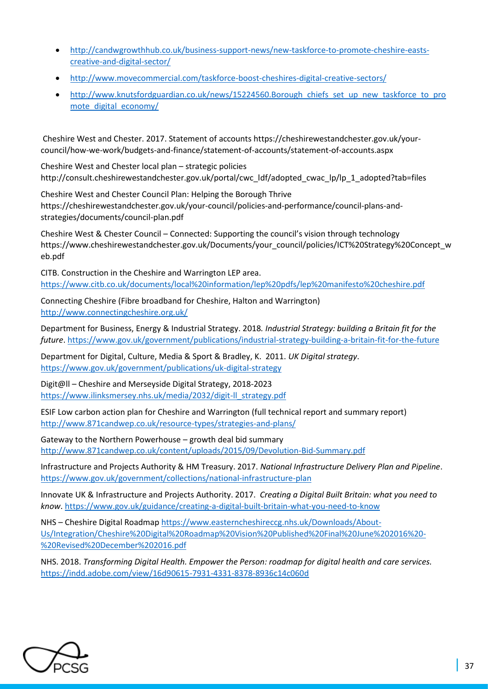- [http://candwgrowthhub.co.uk/business-support-news/new-taskforce-to-promote-cheshire-easts](http://candwgrowthhub.co.uk/business-support-news/new-taskforce-to-promote-cheshire-easts-creative-and-digital-sector/)[creative-and-digital-sector/](http://candwgrowthhub.co.uk/business-support-news/new-taskforce-to-promote-cheshire-easts-creative-and-digital-sector/)
- <http://www.movecommercial.com/taskforce-boost-cheshires-digital-creative-sectors/>
- [http://www.knutsfordguardian.co.uk/news/15224560.Borough\\_chiefs\\_set\\_up\\_new\\_taskforce\\_to\\_pro](http://www.knutsfordguardian.co.uk/news/15224560.Borough_chiefs_set_up_new_taskforce_to_promote_digital_economy/) [mote\\_digital\\_economy/](http://www.knutsfordguardian.co.uk/news/15224560.Borough_chiefs_set_up_new_taskforce_to_promote_digital_economy/)

Cheshire West and Chester. 2017. Statement of accounts https://cheshirewestandchester.gov.uk/yourcouncil/how-we-work/budgets-and-finance/statement-of-accounts/statement-of-accounts.aspx

Cheshire West and Chester local plan – strategic policies http://consult.cheshirewestandchester.gov.uk/portal/cwc\_ldf/adopted\_cwac\_lp/lp\_1\_adopted?tab=files

Cheshire West and Chester Council Plan: Helping the Borough Thrive https://cheshirewestandchester.gov.uk/your-council/policies-and-performance/council-plans-andstrategies/documents/council-plan.pdf

Cheshire West & Chester Council – Connected: Supporting the council's vision through technology https://www.cheshirewestandchester.gov.uk/Documents/your\_council/policies/ICT%20Strategy%20Concept\_w eb.pdf

CITB. Construction in the Cheshire and Warrington LEP area. https://www.citb.co.uk/documents/local%20information/lep%20pdfs/lep%20manifesto%20cheshire.pdf

Connecting Cheshire (Fibre broadband for Cheshire, Halton and Warrington) http://www.connectingcheshire.org.uk/

Department for Business, Energy & Industrial Strategy. 2018*. Industrial Strategy: building a Britain fit for the future*.<https://www.gov.uk/government/publications/industrial-strategy-building-a-britain-fit-for-the-future>

Department for Digital, Culture, Media & Sport & Bradley, K. 2011. *UK Digital strategy*. <https://www.gov.uk/government/publications/uk-digital-strategy>

Digit@ll – Cheshire and Merseyside Digital Strategy, 2018-2023 https://www.ilinksmersey.nhs.uk/media/2032/digit-ll\_strategy.pdf

ESIF Low carbon action plan for Cheshire and Warrington (full technical report and summary report) http://www.871candwep.co.uk/resource-types/strategies-and-plans/

Gateway to the Northern Powerhouse – growth deal bid summary http://www.871candwep.co.uk/content/uploads/2015/09/Devolution-Bid-Summary.pdf

Infrastructure and Projects Authority & HM Treasury. 2017. *National Infrastructure Delivery Plan and Pipeline*. <https://www.gov.uk/government/collections/national-infrastructure-plan>

Innovate UK & Infrastructure and Projects Authority. 2017. *Creating a Digital Built Britain: what you need to know*.<https://www.gov.uk/guidance/creating-a-digital-built-britain-what-you-need-to-know>

NHS – Cheshire Digital Roadmap https://www.easterncheshireccg.nhs.uk/Downloads/About-Us/Integration/Cheshire%20Digital%20Roadmap%20Vision%20Published%20Final%20June%202016%20- %20Revised%20December%202016.pdf

NHS. 2018. *Transforming Digital Health. Empower the Person: roadmap for digital health and care services.* <https://indd.adobe.com/view/16d90615-7931-4331-8378-8936c14c060d>

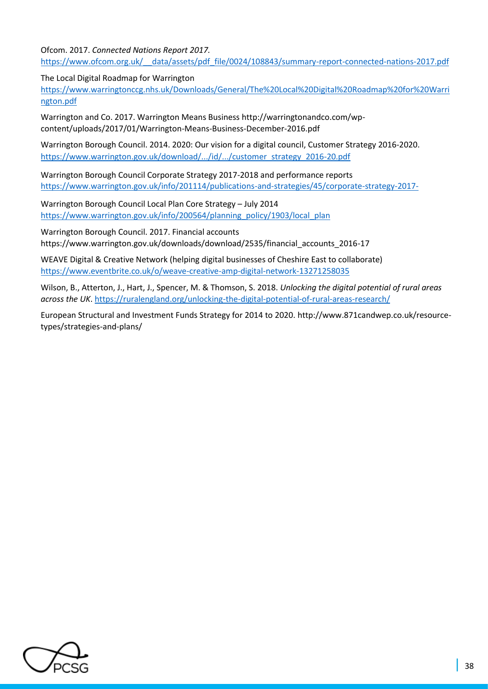Ofcom. 2017. *Connected Nations Report 2017.*  [https://www.ofcom.org.uk/\\_\\_data/assets/pdf\\_file/0024/108843/summary-report-connected-nations-2017.pdf](https://www.ofcom.org.uk/__data/assets/pdf_file/0024/108843/summary-report-connected-nations-2017.pdf)

The Local Digital Roadmap for Warrington

[https://www.warringtonccg.nhs.uk/Downloads/General/The%20Local%20Digital%20Roadmap%20for%20Warri](https://www.warringtonccg.nhs.uk/Downloads/General/The%20Local%20Digital%20Roadmap%20for%20Warrington.pdf) [ngton.pdf](https://www.warringtonccg.nhs.uk/Downloads/General/The%20Local%20Digital%20Roadmap%20for%20Warrington.pdf)

Warrington and Co. 2017. Warrington Means Business http://warringtonandco.com/wpcontent/uploads/2017/01/Warrington-Means-Business-December-2016.pdf

Warrington Borough Council. 2014. 2020: Our vision for a digital council, Customer Strategy 2016-2020. [https://www.warrington.gov.uk/download/.../id/.../customer\\_strategy\\_2016-20.pdf](https://www.warrington.gov.uk/download/.../id/.../customer_strategy_2016-20.pdf)

Warrington Borough Council Corporate Strategy 2017-2018 and performance reports https://www.warrington.gov.uk/info/201114/publications-and-strategies/45/corporate-strategy-2017-

Warrington Borough Council Local Plan Core Strategy – July 2014 https://www.warrington.gov.uk/info/200564/planning\_policy/1903/local\_plan

Warrington Borough Council. 2017. Financial accounts https://www.warrington.gov.uk/downloads/download/2535/financial\_accounts\_2016-17

WEAVE Digital & Creative Network (helping digital businesses of Cheshire East to collaborate) https://www.eventbrite.co.uk/o/weave-creative-amp-digital-network-13271258035

Wilson, B., Atterton, J., Hart, J., Spencer, M. & Thomson, S. 2018. *Unlocking the digital potential of rural areas across the UK*[. https://ruralengland.org/unlocking-the-digital-potential-of-rural-areas-research/](https://ruralengland.org/unlocking-the-digital-potential-of-rural-areas-research/)

European Structural and Investment Funds Strategy for 2014 to 2020. http://www.871candwep.co.uk/resourcetypes/strategies-and-plans/

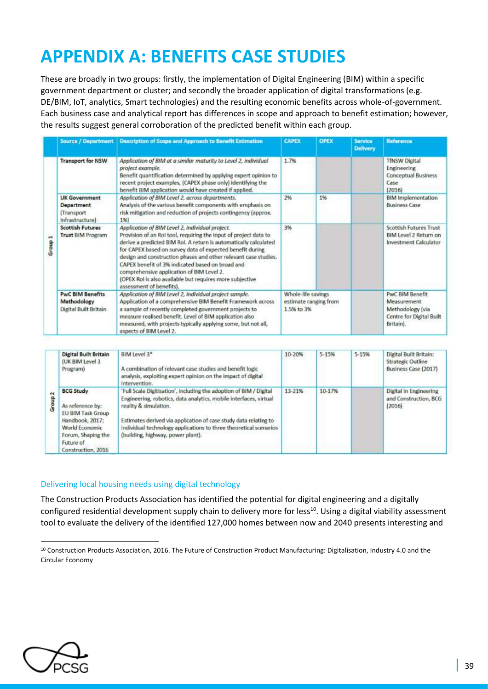# **APPENDIX A: BENEFITS CASE STUDIES**

These are broadly in two groups: firstly, the implementation of Digital Engineering (BIM) within a specific government department or cluster; and secondly the broader application of digital transformations (e.g. DE/BIM, IoT, analytics, Smart technologies) and the resulting economic benefits across whole-of-government. Each business case and analytical report has differences in scope and approach to benefit estimation; however, the results suggest general corroboration of the predicted benefit within each group.

|         | <b>Source / Department</b>                                                 | <b>Description of Scope and Approach to Benefit Estimation</b>                                                                                                                                                                                                                                                                                                                                                                                                                                                   | <b>CAPEX</b>                                              | <b>OPEX</b> | <b>Service</b><br><b>Delivery</b> | Reference                                                                                          |
|---------|----------------------------------------------------------------------------|------------------------------------------------------------------------------------------------------------------------------------------------------------------------------------------------------------------------------------------------------------------------------------------------------------------------------------------------------------------------------------------------------------------------------------------------------------------------------------------------------------------|-----------------------------------------------------------|-------------|-----------------------------------|----------------------------------------------------------------------------------------------------|
| Group 1 | <b>Transport for NSW</b>                                                   | Application of BIM at a similar maturity to Level 2, individual<br>project example.<br>Benefit quantification determined by applying expert opinion to<br>recent project examples, (CAPEX phase only) identifying the<br>benefit BIM application would have created if applied.                                                                                                                                                                                                                                  | 1.7%                                                      |             |                                   | <b>TfNSW Digital</b><br>Engineering<br><b>Conceptual Business</b><br>Case<br>(2016)                |
|         | <b>UK Government</b><br><b>Department</b><br>(Transport<br>infrastructure) | Application of BIM Level 2, across departments.<br>Analysis of the various benefit components with emphasis on<br>risk mitigation and reduction of projects contingency (approx.<br>1%)                                                                                                                                                                                                                                                                                                                          | 2%                                                        | 1%          |                                   | <b>BIM</b> Implementation<br><b>Business Case</b>                                                  |
|         | <b>Scottish Futures</b><br><b>Trust BIM Program</b>                        | Application of BIM Level 2, individual project.<br>Provision of an Rol tool, requiring the input of project data to<br>derive a predicted BIM Rol. A return is automatically calculated<br>for CAPEX based on survey data of expected benefit during<br>design and construction phases and other relevant case studies.<br>CAPEX benefit of 3% indicated based on broad and<br>comprehensive application of BIM Level 2.<br>(OPEX Rol is also available but requires more subjective<br>assessment of benefits). | 3%                                                        |             |                                   | Scottish Futures Trust<br>BIM Level 2 Return on<br><b>Investment Calculator</b>                    |
|         | <b>PwC BIM Benefits</b><br>Methodology<br>Digital Built Britain            | Application of BIM Level 2, individual project sample.<br>Application of a comprehensive BIM Benefit Framework across<br>a sample of recently completed government projects to<br>measure realised benefit. Level of BIM application also<br>measured, with projects typically applying some, but not all,<br>aspects of BIM Level 2.                                                                                                                                                                            | Whole-life savings<br>estimate ranging from<br>1.5% to 3% |             |                                   | <b>PwC BIM Benefit</b><br>Measurement<br>Methodology (via<br>Centre for Digital Built<br>Britain). |

| $\overline{N}$<br>G | <b>Digital Built Britain</b><br>(UK BIM Level 3)<br>Program)                                                                                            | BIM Level 3*<br>A combination of relevant case studies and benefit logic<br>analysis, exploiting expert opinion on the impact of digital<br>intervention.                                                                                                                                                                                      | 10-20% | 5-15%  | 5-15% | Digital Built Britain:<br>Strategic Outline<br>Business Case (2017) |
|---------------------|---------------------------------------------------------------------------------------------------------------------------------------------------------|------------------------------------------------------------------------------------------------------------------------------------------------------------------------------------------------------------------------------------------------------------------------------------------------------------------------------------------------|--------|--------|-------|---------------------------------------------------------------------|
|                     | <b>BCG Study</b><br>As reference by:<br>EU BIM Task Group<br>Handbook, 2017:<br>World Economic<br>Forum, Shaping the<br>Future of<br>Construction, 2016 | 'Full Scale Digitisation', including the adoption of BIM / Digital<br>Engineering, robotics, data analytics, mobile interfaces, virtual<br>reality & simulation.<br>Estimates derived via application of case study data relating to<br>individual technology applications to three theoretical scenarios<br>(building, highway, power plant). | 13-21% | 10-17% |       | Digital in Engineering<br>and Construction, BCG<br>(2016)           |

#### Delivering local housing needs using digital technology

The Construction Products Association has identified the potential for digital engineering and a digitally configured residential development supply chain to delivery more for less<sup>10</sup>. Using a digital viability assessment tool to evaluate the delivery of the identified 127,000 homes between now and 2040 presents interesting and



<sup>10</sup> Construction Products Association, 2016. The Future of Construction Product Manufacturing: Digitalisation, Industry 4.0 and the Circular Economy